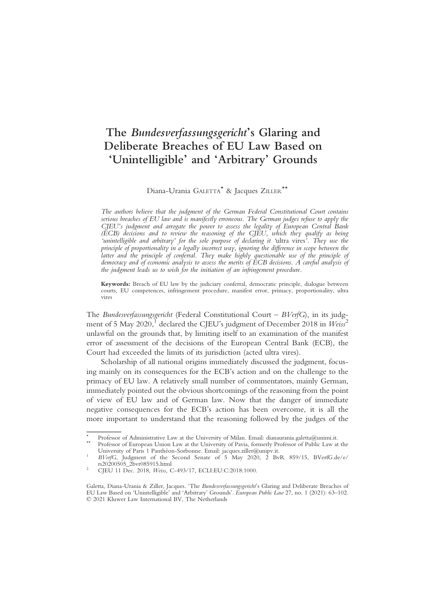# The Bundesverfassungsgericht's Glaring and Deliberate Breaches of EU Law Based on 'Unintelligible' and 'Arbitrary' Grounds

Diana-Urania GALETTA\* & Jacques ZILLER\*\*

The authors believe that the judgment of the German Federal Constitutional Court contains serious breaches of EU law and is manifestly erroneous. The German judges refuse to apply the CJEU's judgment and arrogate the power to assess the legality of European Central Bank (ECB) decisions and to review the reasoning of the CJEU, which they qualify as being 'unintelligible and arbitrary' for the sole purpose of declaring it 'ultra vires'. They use the principle of proportionality in a legally incorrect way, ignoring the difference in scope between the latter and the principle of conferral. They make highly questionable use of the principle of democracy and of economic analysis to assess the merits of ECB decisions. A careful analysis of the judgment leads us to wish for the initiation of an infringement procedure.

Keywords: Breach of EU law by the judiciary conferral, democratic principle, dialogue between courts, EU competences, infringement procedure, manifest error, primacy, proportionality, ultra vires

The Bundesverfassungsgericht (Federal Constitutional Court – BVerfG), in its judgment of 5 May 2020,<sup>1</sup> declared the CJEU's judgment of December 2018 in  $Weiss^2$ unlawful on the grounds that, by limiting itself to an examination of the manifest error of assessment of the decisions of the European Central Bank (ECB), the Court had exceeded the limits of its jurisdiction (acted ultra vires).

Scholarship of all national origins immediately discussed the judgment, focusing mainly on its consequences for the ECB's action and on the challenge to the primacy of EU law. A relatively small number of commentators, mainly German, immediately pointed out the obvious shortcomings of the reasoning from the point of view of EU law and of German law. Now that the danger of immediate negative consequences for the ECB's action has been overcome, it is all the more important to understand that the reasoning followed by the judges of the

Professor of Administrative Law at the University of Milan. Email: dianaurania.galetta@unimi.it. Professor of European Union Law at the University of Pavia, formerly Professor of Public Law at the University of Paris 1 Pan

 $BVer$ G, Judgment of the Second-Senate of 5 May 2020, 2 BvR 859/15, BVerfG.de/e/rs20200505 2bvr085915.html

CJEU 11 Dec. 2018, Weiss, C-493/17, ECLI:EU:C:2018:1000.

Galetta, Diana-Urania & Ziller, Jacques. 'The Bundesverfassungsgericht's Glaring and Deliberate Breaches of EU Law Based on 'Unintelligible' and 'Arbitrary' Grounds'. European Public Law 27, no. 1 (2021): 63–102. © 2021 Kluwer Law International BV, The Netherlands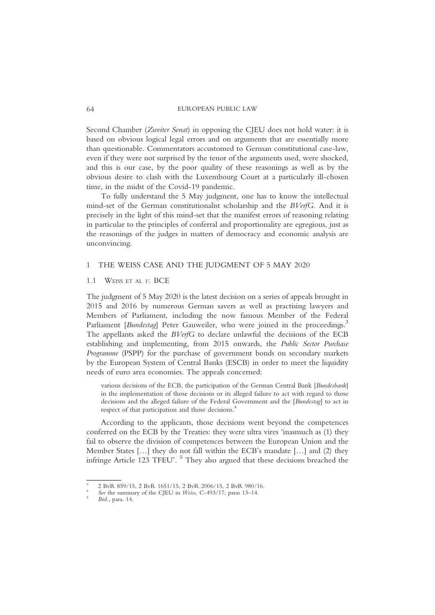Second Chamber (Zweiter Senat) in opposing the CJEU does not hold water: it is based on obvious logical legal errors and on arguments that are essentially more than questionable. Commentators accustomed to German constitutional case-law, even if they were not surprised by the tenor of the arguments used, were shocked, and this is our case, by the poor quality of these reasonings as well as by the obvious desire to clash with the Luxembourg Court at a particularly ill-chosen time, in the midst of the Covid-19 pandemic.

To fully understand the 5 May judgment, one has to know the intellectual mind-set of the German constitutionalist scholarship and the BVerfG. And it is precisely in the light of this mind-set that the manifest errors of reasoning relating in particular to the principles of conferral and proportionality are egregious, just as the reasonings of the judges in matters of democracy and economic analysis are unconvincing.

## 1 THE WEISS CASE AND THE JUDGMENT OF 5 MAY 2020

#### 1.1 WEISS ET AL V. BCE

The judgment of 5 May 2020 is the latest decision on a series of appeals brought in 2015 and 2016 by numerous German savers as well as practising lawyers and Members of Parliament, including the now famous Member of the Federal Parliament [Bundestag] Peter Gauweiler, who were joined in the proceedings.<sup>3</sup> The appellants asked the BVerfG to declare unlawful the decisions of the ECB establishing and implementing, from 2015 onwards, the Public Sector Purchase Programme (PSPP) for the purchase of government bonds on secondary markets by the European System of Central Banks (ESCB) in order to meet the liquidity needs of euro area economies. The appeals concerned:

various decisions of the ECB, the participation of the German Central Bank [Bundesbank] in the implementation of those decisions or its alleged failure to act with regard to those decisions and the alleged failure of the Federal Government and the [Bundestag] to act in respect of that participation and those decisions.<sup>4</sup>

According to the applicants, those decisions went beyond the competences conferred on the ECB by the Treaties: they were ultra vires 'inasmuch as (1) they fail to observe the division of competences between the European Union and the Member States […] they do not fall within the ECB's mandate […] and (2) they infringe Article 123 TFEU'.<sup>5</sup> They also argued that these decisions breached the

<sup>2</sup> BvR 859/15, 2 BvR 1651/15, 2 BvR 2006/15, 2 BvR 980/16. See the summary of the CJEU in *Weiss*, C-493/17, paras 13–14. *Ibid.*, para. 14.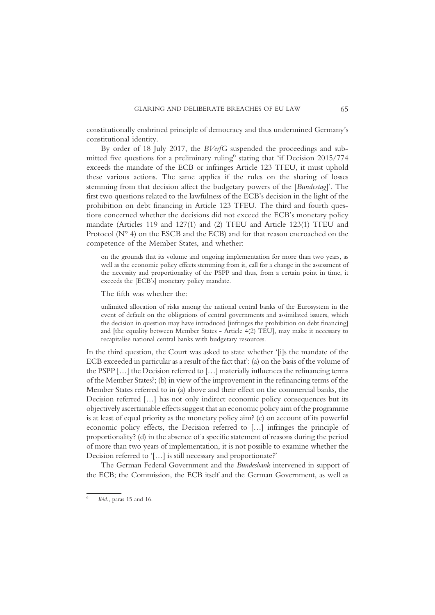constitutionally enshrined principle of democracy and thus undermined Germany's constitutional identity.

By order of 18 July 2017, the BVerfG suspended the proceedings and submitted five questions for a preliminary ruling stating that 'if Decision 2015/774 exceeds the mandate of the ECB or infringes Article 123 TFEU, it must uphold these various actions. The same applies if the rules on the sharing of losses stemming from that decision affect the budgetary powers of the [Bundestag]'. The first two questions related to the lawfulness of the ECB's decision in the light of the prohibition on debt financing in Article 123 TFEU. The third and fourth questions concerned whether the decisions did not exceed the ECB's monetary policy mandate (Articles 119 and 127(1) and (2) TFEU and Article 123(1) TFEU and Protocol (N° 4) on the ESCB and the ECB) and for that reason encroached on the competence of the Member States, and whether:

on the grounds that its volume and ongoing implementation for more than two years, as well as the economic policy effects stemming from it, call for a change in the assessment of the necessity and proportionality of the PSPP and thus, from a certain point in time, it exceeds the [ECB's] monetary policy mandate.

The fifth was whether the:

unlimited allocation of risks among the national central banks of the Eurosystem in the event of default on the obligations of central governments and assimilated issuers, which the decision in question may have introduced [infringes the prohibition on debt financing] and [the equality between Member States - Article 4(2) TEU], may make it necessary to recapitalise national central banks with budgetary resources.

In the third question, the Court was asked to state whether '[i]s the mandate of the ECB exceeded in particular as a result of the fact that': (a) on the basis of the volume of the PSPP […] the Decision referred to […] materially influences the refinancing terms of the Member States?; (b) in view of the improvement in the refinancing terms of the Member States referred to in (a) above and their effect on the commercial banks, the Decision referred […] has not only indirect economic policy consequences but its objectively ascertainable effects suggest that an economic policy aim of the programme is at least of equal priority as the monetary policy aim? (c) on account of its powerful economic policy effects, the Decision referred to […] infringes the principle of proportionality? (d) in the absence of a specific statement of reasons during the period of more than two years of implementation, it is not possible to examine whether the Decision referred to '[…] is still necessary and proportionate?'

The German Federal Government and the Bundesbank intervened in support of the ECB; the Commission, the ECB itself and the German Government, as well as

Ibid., paras 15 and 16.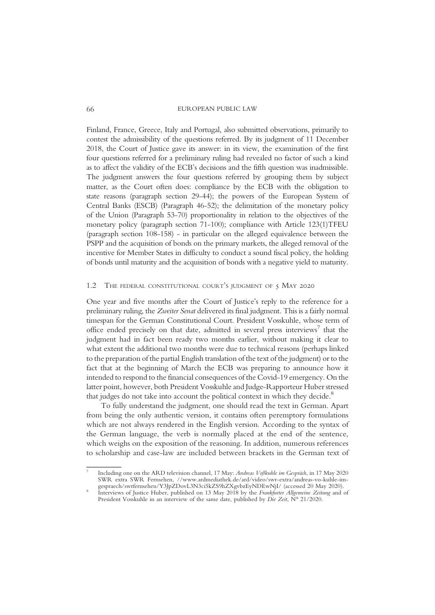Finland, France, Greece, Italy and Portugal, also submitted observations, primarily to contest the admissibility of the questions referred. By its judgment of 11 December 2018, the Court of Justice gave its answer: in its view, the examination of the first four questions referred for a preliminary ruling had revealed no factor of such a kind as to affect the validity of the ECB's decisions and the fifth question was inadmissible. The judgment answers the four questions referred by grouping them by subject matter, as the Court often does: compliance by the ECB with the obligation to state reasons (paragraph section 29-44); the powers of the European System of Central Banks (ESCB) (Paragraph 46-52); the delimitation of the monetary policy of the Union (Paragraph 53-70) proportionality in relation to the objectives of the monetary policy (paragraph section 71-100); compliance with Article 123(1)TFEU (paragraph section 108-158) - in particular on the alleged equivalence between the PSPP and the acquisition of bonds on the primary markets, the alleged removal of the incentive for Member States in difficulty to conduct a sound fiscal policy, the holding of bonds until maturity and the acquisition of bonds with a negative yield to maturity.

## 1.2 THE FEDERAL CONSTITUTIONAL COURT'S JUDGMENT OF 5 MAY 2020

One year and five months after the Court of Justice's reply to the reference for a preliminary ruling, the Zweiter Senat delivered its final judgment. This is a fairly normal timespan for the German Constitutional Court. President Vosskuhle, whose term of office ended precisely on that date, admitted in several press interviews<sup>1</sup> that the judgment had in fact been ready two months earlier, without making it clear to what extent the additional two months were due to technical reasons (perhaps linked to the preparation of the partial English translation of the text of the judgment) or to the fact that at the beginning of March the ECB was preparing to announce how it intended to respond to the financial consequences of the Covid-19 emergency. On the latter point, however, both President Vosskuhle and Judge-Rapporteur Huber stressed that judges do not take into account the political context in which they decide.<sup>8</sup>

To fully understand the judgment, one should read the text in German. Apart from being the only authentic version, it contains often peremptory formulations which are not always rendered in the English version. According to the syntax of the German language, the verb is normally placed at the end of the sentence, which weighs on the exposition of the reasoning. In addition, numerous references to scholarship and case-law are included between brackets in the German text of

<sup>7</sup> Including one on the ARD television channel, 17 May: Andreas Voßkuhle im Gespräch, in 17 May 2020 SWR extra SWR Fernsehen, //www.ardmediathek.de/ard/video/swr-extra/andreas-vo-kuhle-im-gespraech/swrfernsehen/Y3JpZDovL3N3ci5kZS9hZXgvbzEyNDEwNiI/ (accessed 20 Mav 2020).

Interviews of Justice Huber, published on 13 May 2018 by the Frankfurter Allgemeine Zeitung and of President Vosskuhle in an interview of the same date, published by *Die Zeit*, N° 21/2020.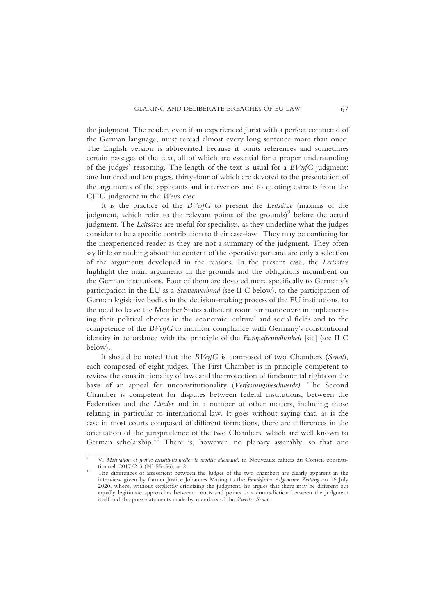the judgment. The reader, even if an experienced jurist with a perfect command of the German language, must reread almost every long sentence more than once. The English version is abbreviated because it omits references and sometimes certain passages of the text, all of which are essential for a proper understanding of the judges' reasoning. The length of the text is usual for a BVerfG judgment: one hundred and ten pages, thirty-four of which are devoted to the presentation of the arguments of the applicants and interveners and to quoting extracts from the CJEU judgment in the Weiss case.

It is the practice of the BVerfG to present the Leitsätze (maxims of the judgment, which refer to the relevant points of the grounds) $\degree$  before the actual judgment. The *Leitsätze* are useful for specialists, as they underline what the judges consider to be a specific contribution to their case-law . They may be confusing for the inexperienced reader as they are not a summary of the judgment. They often say little or nothing about the content of the operative part and are only a selection of the arguments developed in the reasons. In the present case, the Leitsätze highlight the main arguments in the grounds and the obligations incumbent on the German institutions. Four of them are devoted more specifically to Germany's participation in the EU as a Staatenverbund (see II C below), to the participation of German legislative bodies in the decision-making process of the EU institutions, to the need to leave the Member States sufficient room for manoeuvre in implementing their political choices in the economic, cultural and social fields and to the competence of the BVerfG to monitor compliance with Germany's constitutional identity in accordance with the principle of the Europafreundlichkeit [sic] (see II C below).

It should be noted that the BVerfG is composed of two Chambers (Senat), each composed of eight judges. The First Chamber is in principle competent to review the constitutionality of laws and the protection of fundamental rights on the basis of an appeal for unconstitutionality (Verfassungsbeschwerde). The Second Chamber is competent for disputes between federal institutions, between the Federation and the Länder and in a number of other matters, including those relating in particular to international law. It goes without saying that, as is the case in most courts composed of different formations, there are differences in the orientation of the jurisprudence of the two Chambers, which are well known to German scholarship.<sup>10</sup> There is, however, no plenary assembly, so that one

V. Motivation et justice constitutionnelle: le modèle allemand, in Nouveaux cahiers du Conseil constitu-<br>tionnel, 2017/2-3 (N° 55-56), at 2.

The differences of assessment between the Judges of the two chambers are clearly apparent in the interview given by former Justice Johannes Masing to the Frankfurter Allgemeine Zeitung on 16 July 2020, where, without explicitly criticizing the judgment, he argues that there may be different but equally legitimate approaches between courts and points to a contradiction between the judgment itself and the press statements made by members of the Zweiter Senat.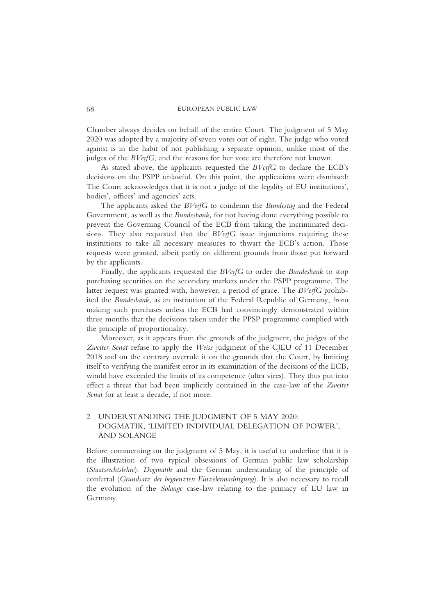Chamber always decides on behalf of the entire Court. The judgment of 5 May 2020 was adopted by a majority of seven votes out of eight. The judge who voted against is in the habit of not publishing a separate opinion, unlike most of the judges of the *BVerfG*, and the reasons for her vote are therefore not known.

As stated above, the applicants requested the BVerfG to declare the ECB's decisions on the PSPP unlawful. On this point, the applications were dismissed: The Court acknowledges that it is not a judge of the legality of EU institutions', bodies', offices' and agencies' acts.

The applicants asked the BVerfG to condemn the Bundestag and the Federal Government, as well as the Bundesbank, for not having done everything possible to prevent the Governing Council of the ECB from taking the incriminated decisions. They also requested that the BVerfG issue injunctions requiring these institutions to take all necessary measures to thwart the ECB's action. Those requests were granted, albeit partly on different grounds from those put forward by the applicants.

Finally, the applicants requested the BVerfG to order the Bundesbank to stop purchasing securities on the secondary markets under the PSPP programme. The latter request was granted with, however, a period of grace. The BVerfG prohibited the Bundesbank, as an institution of the Federal Republic of Germany, from making such purchases unless the ECB had convincingly demonstrated within three months that the decisions taken under the PPSP programme complied with the principle of proportionality.

Moreover, as it appears from the grounds of the judgment, the judges of the Zweiter Senat refuse to apply the Weiss judgment of the CJEU of 11 December 2018 and on the contrary overrule it on the grounds that the Court, by limiting itself to verifying the manifest error in its examination of the decisions of the ECB, would have exceeded the limits of its competence (ultra vires). They thus put into effect a threat that had been implicitly contained in the case-law of the Zweiter Senat for at least a decade, if not more.

# 2 UNDERSTANDING THE JUDGMENT OF 5 MAY 2020: DOGMATIK, 'LIMITED INDIVIDUAL DELEGATION OF POWER', AND SOLANGE

Before commenting on the judgment of 5 May, it is useful to underline that it is the illustration of two typical obsessions of German public law scholarship (Staatsrechtslehre): Dogmatik and the German understanding of the principle of conferral (Grundsatz der begrenzten Einzelermächtigung). It is also necessary to recall the evolution of the Solange case-law relating to the primacy of EU law in Germany.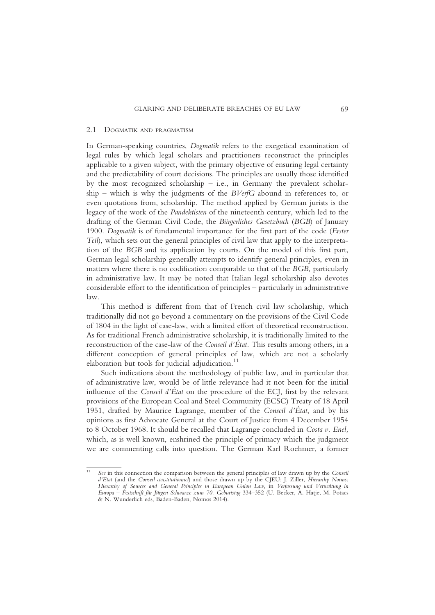#### 2.1 DOGMATIK AND PRAGMATISM

In German-speaking countries, Dogmatik refers to the exegetical examination of legal rules by which legal scholars and practitioners reconstruct the principles applicable to a given subject, with the primary objective of ensuring legal certainty and the predictability of court decisions. The principles are usually those identified by the most recognized scholarship – i.e., in Germany the prevalent scholarship – which is why the judgments of the  $B\text{VerfG}$  abound in references to, or even quotations from, scholarship. The method applied by German jurists is the legacy of the work of the Pandektisten of the nineteenth century, which led to the drafting of the German Civil Code, the Bürgerliches Gesetzbuch (BGB) of January 1900. Dogmatik is of fundamental importance for the first part of the code (*Erster* Teil), which sets out the general principles of civil law that apply to the interpretation of the BGB and its application by courts. On the model of this first part, German legal scholarship generally attempts to identify general principles, even in matters where there is no codification comparable to that of the BGB, particularly in administrative law. It may be noted that Italian legal scholarship also devotes considerable effort to the identification of principles – particularly in administrative law.

This method is different from that of French civil law scholarship, which traditionally did not go beyond a commentary on the provisions of the Civil Code of 1804 in the light of case-law, with a limited effort of theoretical reconstruction. As for traditional French administrative scholarship, it is traditionally limited to the reconstruction of the case-law of the Conseil d'État. This results among others, in a different conception of general principles of law, which are not a scholarly elaboration but tools for judicial adjudication. $11$ 

Such indications about the methodology of public law, and in particular that of administrative law, would be of little relevance had it not been for the initial influence of the Conseil d'État on the procedure of the ECJ, first by the relevant provisions of the European Coal and Steel Community (ECSC) Treaty of 18 April 1951, drafted by Maurice Lagrange, member of the Conseil d'État, and by his opinions as first Advocate General at the Court of Justice from 4 December 1954 to 8 October 1968. It should be recalled that Lagrange concluded in Costa v. Enel, which, as is well known, enshrined the principle of primacy which the judgment we are commenting calls into question. The German Karl Roehmer, a former

See in this connection the comparison between the general principles of law drawn up by the Conseil d'Etat (and the Conseil constitutionnel) and those drawn up by the CJEU: J. Ziller, Hierarchy Norms: Hierarchy of Sources and General Principles in European Union Law, in Verfassung und Verwaltung in Europa – Festschrift für Jürgen Schwarze zum 70. Geburtstag 334–352 (U. Becker, A. Hatje, M. Potacs & N. Wunderlich eds, Baden-Baden, Nomos 2014).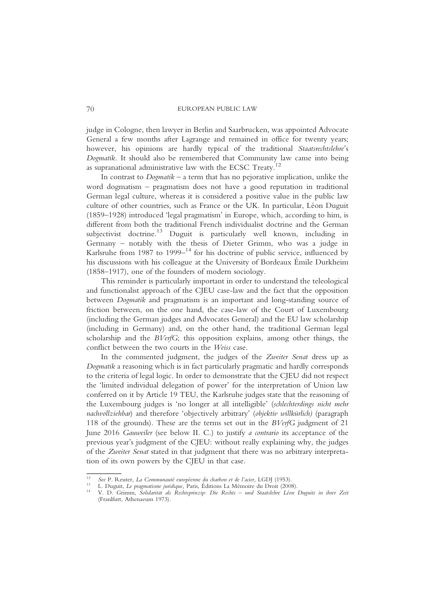judge in Cologne, then lawyer in Berlin and Saarbrucken, was appointed Advocate General a few months after Lagrange and remained in office for twenty years; however, his opinions are hardly typical of the traditional Staatsrechtslehre's Dogmatik. It should also be remembered that Community law came into being as supranational administrative law with the ECSC Treaty.<sup>12</sup>

In contrast to  $Dogmatik - a$  term that has no pejorative implication, unlike the word dogmatism – pragmatism does not have a good reputation in traditional German legal culture, whereas it is considered a positive value in the public law culture of other countries, such as France or the UK. In particular, Léon Duguit (1859–1928) introduced 'legal pragmatism' in Europe, which, according to him, is different from both the traditional French individualist doctrine and the German subjectivist doctrine.<sup>13</sup> Duguit is particularly well known, including in Germany – notably with the thesis of Dieter Grimm, who was a judge in Karlsruhe from 1987 to 1999– $14$  for his doctrine of public service, influenced by his discussions with his colleague at the University of Bordeaux Émile Durkheim (1858–1917), one of the founders of modern sociology.

This reminder is particularly important in order to understand the teleological and functionalist approach of the CJEU case-law and the fact that the opposition between Dogmatik and pragmatism is an important and long-standing source of friction between, on the one hand, the case-law of the Court of Luxembourg (including the German judges and Advocates General) and the EU law scholarship (including in Germany) and, on the other hand, the traditional German legal scholarship and the BVerfG; this opposition explains, among other things, the conflict between the two courts in the Weiss case.

In the commented judgment, the judges of the Zweiter Senat dress up as Dogmatik a reasoning which is in fact particularly pragmatic and hardly corresponds to the criteria of legal logic. In order to demonstrate that the CJEU did not respect the 'limited individual delegation of power' for the interpretation of Union law conferred on it by Article 19 TEU, the Karlsruhe judges state that the reasoning of the Luxembourg judges is 'no longer at all intelligible' (schlechterdings nicht mehr nachvollziehbar) and therefore 'objectively arbitrary' (objektiv willkürlich) (paragraph 118 of the grounds). These are the terms set out in the BVerfG judgment of 21 June 2016 Gauweiler (see below II. C.) to justify a contrario its acceptance of the previous year's judgment of the CJEU: without really explaining why, the judges of the Zweiter Senat stated in that judgment that there was no arbitrary interpretation of its own powers by the CJEU in that case.

<sup>&</sup>lt;sup>12</sup> See P. Reuter, *La Communauté européenne du charbon et de l'acier*, LGDJ (1953).<br><sup>13</sup> L. Duguit, *Le pragmatisme juridique*, Paris, Éditions La Mémoire du Droit (2008).<br><sup>14</sup> V. D. Grimm, *Solidarität als Rechtsprinzip* (Franlfurt, Athenaeum 1973).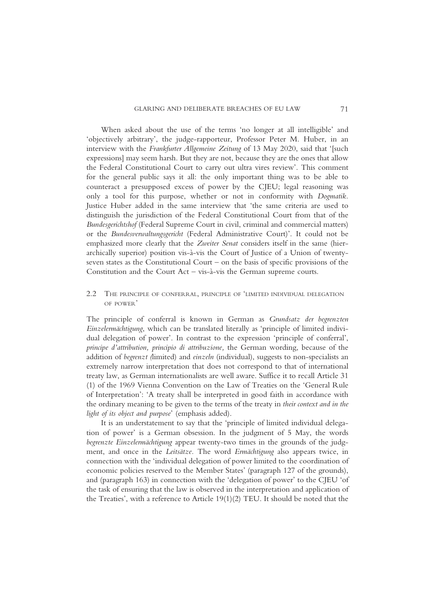When asked about the use of the terms 'no longer at all intelligible' and 'objectively arbitrary', the judge-rapporteur, Professor Peter M. Huber, in an interview with the Frankfurter Allgemeine Zeitung of 13 May 2020, said that '[such expressions] may seem harsh. But they are not, because they are the ones that allow the Federal Constitutional Court to carry out ultra vires review'. This comment for the general public says it all: the only important thing was to be able to counteract a presupposed excess of power by the CJEU; legal reasoning was only a tool for this purpose, whether or not in conformity with Dogmatik. Justice Huber added in the same interview that 'the same criteria are used to distinguish the jurisdiction of the Federal Constitutional Court from that of the Bundesgerichtshof (Federal Supreme Court in civil, criminal and commercial matters) or the Bundesverwaltungsgericht (Federal Administrative Court)'. It could not be emphasized more clearly that the Zweiter Senat considers itself in the same (hierarchically superior) position vis-à-vis the Court of Justice of a Union of twentyseven states as the Constitutional Court – on the basis of specific provisions of the Constitution and the Court Act – vis-à-vis the German supreme courts.

2.2 THE PRINCIPLE OF CONFERRAL, PRINCIPLE OF 'LIMITED INDIVIDUAL DELEGATION OF POWER'

The principle of conferral is known in German as Grundsatz der begrenzten Einzelermächtigung, which can be translated literally as 'principle of limited individual delegation of power'. In contrast to the expression 'principle of conferral', principe d'attribution, principio di attribuzione, the German wording, because of the addition of begrenzt (limited) and einzeln (individual), suggests to non-specialists an extremely narrow interpretation that does not correspond to that of international treaty law, as German internationalists are well aware. Suffice it to recall Article 31 (1) of the 1969 Vienna Convention on the Law of Treaties on the 'General Rule of Interpretation': 'A treaty shall be interpreted in good faith in accordance with the ordinary meaning to be given to the terms of the treaty in their context and in the light of its object and purpose' (emphasis added).

It is an understatement to say that the 'principle of limited individual delegation of power' is a German obsession. In the judgment of 5 May, the words begrenzte Einzelermächtigung appear twenty-two times in the grounds of the judgment, and once in the Leitsätze. The word Ermächtigung also appears twice, in connection with the 'individual delegation of power limited to the coordination of economic policies reserved to the Member States' (paragraph 127 of the grounds), and (paragraph 163) in connection with the 'delegation of power' to the CJEU 'of the task of ensuring that the law is observed in the interpretation and application of the Treaties', with a reference to Article 19(1)(2) TEU. It should be noted that the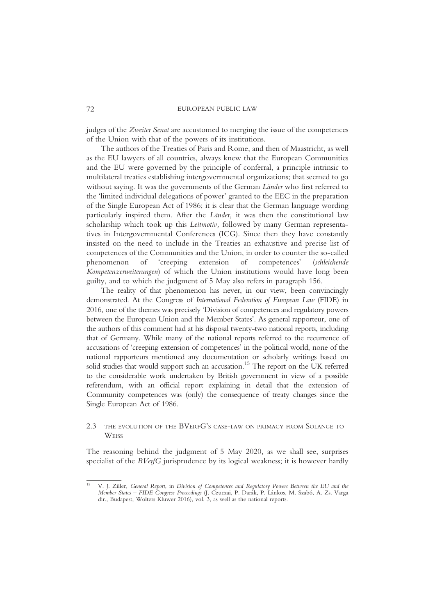judges of the Zweiter Senat are accustomed to merging the issue of the competences of the Union with that of the powers of its institutions.

The authors of the Treaties of Paris and Rome, and then of Maastricht, as well as the EU lawyers of all countries, always knew that the European Communities and the EU were governed by the principle of conferral, a principle intrinsic to multilateral treaties establishing intergovernmental organizations; that seemed to go without saying. It was the governments of the German Länder who first referred to the 'limited individual delegations of power' granted to the EEC in the preparation of the Single European Act of 1986; it is clear that the German language wording particularly inspired them. After the Länder, it was then the constitutional law scholarship which took up this Leitmotiv, followed by many German representatives in Intergovernmental Conferences (ICG). Since then they have constantly insisted on the need to include in the Treaties an exhaustive and precise list of competences of the Communities and the Union, in order to counter the so-called phenomenon of 'creeping extension of competences' (schleichende Kompetenzerweiterungen) of which the Union institutions would have long been guilty, and to which the judgment of 5 May also refers in paragraph 156.

The reality of that phenomenon has never, in our view, been convincingly demonstrated. At the Congress of International Federation of European Law (FIDE) in 2016, one of the themes was precisely 'Division of competences and regulatory powers between the European Union and the Member States'. As general rapporteur, one of the authors of this comment had at his disposal twenty-two national reports, including that of Germany. While many of the national reports referred to the recurrence of accusations of 'creeping extension of competences' in the political world, none of the national rapporteurs mentioned any documentation or scholarly writings based on solid studies that would support such an accusation.<sup>15</sup> The report on the UK referred to the considerable work undertaken by British government in view of a possible referendum, with an official report explaining in detail that the extension of Community competences was (only) the consequence of treaty changes since the Single European Act of 1986.

## 2.3 THE EVOLUTION OF THE BVERFG'S CASE-LAW ON PRIMACY FROM SOLANGE TO **WEISS**

The reasoning behind the judgment of 5 May 2020, as we shall see, surprises specialist of the BVerfG jurisprudence by its logical weakness; it is however hardly

<sup>15</sup> V. J. Ziller, General Report, in Division of Competences and Regulatory Powers Between the EU and the Member States – FIDE Congress Proceedings (J. Czuczai, P. Darák, P. Lánkos, M. Szabó, A. Zs. Varga dir., Budapest, Wolters Kluwer 2016), vol. 3, as well as the national reports.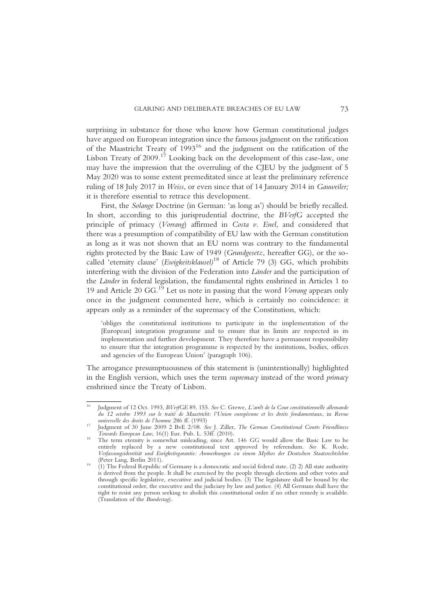surprising in substance for those who know how German constitutional judges have argued on European integration since the famous judgment on the ratification of the Maastricht Treaty of 1993<sup>16</sup> and the judgment on the ratification of the Lisbon Treaty of 2009.<sup>17</sup> Looking back on the development of this case-law, one may have the impression that the overruling of the CJEU by the judgment of 5 May 2020 was to some extent premeditated since at least the preliminary reference ruling of 18 July 2017 in Weiss, or even since that of 14 January 2014 in Gauweiler; it is therefore essential to retrace this development.

First, the Solange Doctrine (in German: 'as long as') should be briefly recalled. In short, according to this jurisprudential doctrine, the BVerfG accepted the principle of primacy (Vorrang) affirmed in Costa v. Enel, and considered that there was a presumption of compatibility of EU law with the German constitution as long as it was not shown that an EU norm was contrary to the fundamental rights protected by the Basic Law of 1949 (Grundgesetz, hereafter GG), or the socalled 'eternity clause' (Ewigkeitsklausel)<sup>18</sup> of Article 79 (3) GG, which prohibits interfering with the division of the Federation into Länder and the participation of the Länder in federal legislation, the fundamental rights enshrined in Articles 1 to 19 and Article 20  $GG$ .<sup>19</sup> Let us note in passing that the word *Vorrang* appears only once in the judgment commented here, which is certainly no coincidence: it appears only as a reminder of the supremacy of the Constitution, which:

'obliges the constitutional institutions to participate in the implementation of the [European] integration programme and to ensure that its limits are respected in its implementation and further development. They therefore have a permanent responsibility to ensure that the integration programme is respected by the institutions, bodies, offices and agencies of the European Union' (paragraph 106).

The arrogance presumptuousness of this statement is (unintentionally) highlighted in the English version, which uses the term *supremacy* instead of the word *primacy* enshrined since the Treaty of Lisbon.

<sup>16</sup> Judgment of 12 Oct. 1993, BVerfGE 89, 155. See C. Grewe, L'arrêt de la Cour constitutionnelle allemande du 12 octobre 1993 sur le traité de Maastricht: l'Union européenne et les droits fondamentaux, in Revue

Judgment of 30 June 2009 2 BvE 2/08. See J. Ziller, The German Constitutional Courts Friendliness<br>Towards European Law, 16(1) Eur. Pub. L. 53ff. (2010).

The term eternity is somewhat misleading, since Art. 146 GG would allow the Basic Law to be entirely replaced by a new constitutional text approved by referendum. See K. Rode, Verfassungsidentität und Ewigkeitsgarantie: Anmerkungen zu einem Mythos der Deutschen Staatsrechtslehre

<sup>(1)</sup> The Federal Republic of Germany is a democratic and social federal state. (2) 2) All state authority is derived from the people. It shall be exercised by the people through elections and other votes and through specific legislative, executive and judicial bodies. (3) The legislature shall be bound by the constitutional order, the executive and the judiciary by law and justice. (4) All Germans shall have the right to resist any person seeking to abolish this constitutional order if no other remedy is available. (Translation of the Bundestag).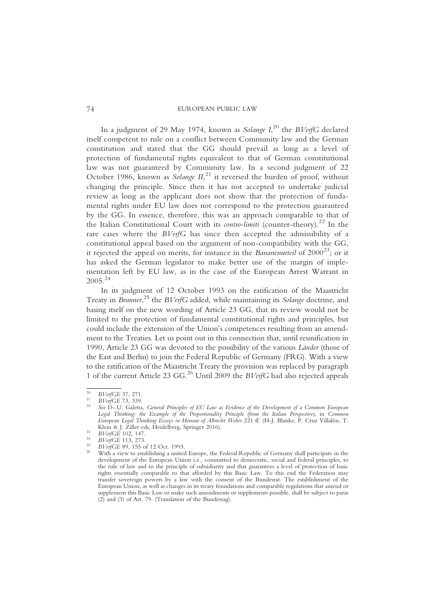In a judgment of 29 May 1974, known as *Solange I*, $^{20}$  the  $B\mathit{VerfG}$  declared itself competent to rule on a conflict between Community law and the German constitution and stated that the GG should prevail as long as a level of protection of fundamental rights equivalent to that of German constitutional law was not guaranteed by Community law. In a second judgment of 22 October 1986, known as *Solange II*,<sup>21</sup> it reversed the burden of proof, without changing the principle. Since then it has not accepted to undertake judicial review as long as the applicant does not show that the protection of fundamental rights under EU law does not correspond to the protection guaranteed by the GG. In essence, therefore, this was an approach comparable to that of the Italian Constitutional Court with its *contro-limiti* (counter-theory).<sup>22</sup> In the rare cases where the BVerfG has since then accepted the admissibility of a constitutional appeal based on the argument of non-compatibility with the GG, it rejected the appeal on merits, for instance in the Bananenurteil of  $2000^{23}$ ; or it has asked the German legislator to make better use of the margin of implementation left by EU law, as in the case of the European Arrest Warrant in  $2005.<sup>24</sup>$ 

In its judgment of 12 October 1993 on the ratification of the Maastricht Treaty in Brunner,<sup>25</sup> the BVerfG added, while maintaining its Solange doctrine, and basing itself on the new wording of Article 23 GG, that its review would not be limited to the protection of fundamental constitutional rights and principles, but could include the extension of the Union's competences resulting from an amendment to the Treaties. Let us point out in this connection that, until reunification in 1990, Article 23 GG was devoted to the possibility of the various Länder (those of the East and Berlin) to join the Federal Republic of Germany (FRG). With a view to the ratification of the Maastricht Treaty the provision was replaced by paragraph 1 of the current Article 23 GG.<sup>26</sup> Until 2009 the *BVerfG* had also rejected appeals

<sup>&</sup>lt;sup>20</sup> BVerfGE 37, 271.<br><sup>21</sup> BVerfGE 73, 339.<br><sup>22</sup> See D-.U. Galetta, General Principles of EU Law as Evidence of the Development of a Common European Legal Thinking: the Example of the Proportionality Principle (from the Italian Perspective), in Common European Legal Thinking Essays in Honour of Albrecht Weber 221 ff. (H-J. Blanke, P. Cruz Villalón, T. Klein & J. Žiller eds, Heidelberg, Springer 2016).<br>
<sup>23</sup> BVerfGE 102, 147.<br>
<sup>24</sup> BVerfGE 113, 273.<br>
<sup>25</sup> BVerfGE 89, 155 of 12 Oct. 1993.<br>
<sup>25</sup> With a view to establishing a united Europe, the Federal Republic of Germany s

development of the European Union i.e., committed to democratic, social and federal principles, to the rule of law and to the principle of subsidiarity and that guarantees a level of protection of basic rights essentially comparable to that afforded by this Basic Law. To this end the Federation may transfer sovereign powers by a law with the consent of the Bundesrat. The establishment of the European Union, as well as changes in its treaty foundations and comparable regulations that amend or supplement this Basic Law or make such amendments or supplements possible, shall be subject to paras (2) and (3) of Art. 79. (Translation of the Bundestag).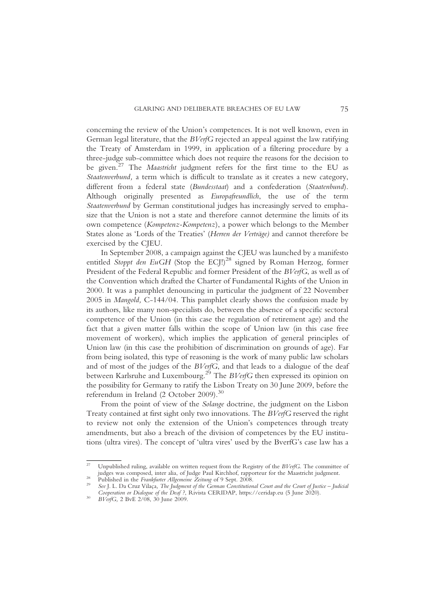concerning the review of the Union's competences. It is not well known, even in German legal literature, that the BVerfG rejected an appeal against the law ratifying the Treaty of Amsterdam in 1999, in application of a filtering procedure by a three-judge sub-committee which does not require the reasons for the decision to be given.<sup>27</sup> The Maastricht judgment refers for the first time to the EU as Staatenverbund, a term which is difficult to translate as it creates a new category, different from a federal state (Bundesstaat) and a confederation (Staatenbund). Although originally presented as Europafreundlich, the use of the term Staatenverbund by German constitutional judges has increasingly served to emphasize that the Union is not a state and therefore cannot determine the limits of its own competence (Kompetenz-Kompetenz), a power which belongs to the Member States alone as 'Lords of the Treaties' (Herren der Verträge) and cannot therefore be exercised by the CJEU.

In September 2008, a campaign against the CJEU was launched by a manifesto entitled Stoppt den EuGH (Stop the ECJ!)<sup>28</sup> signed by Roman Herzog, former President of the Federal Republic and former President of the BVerfG, as well as of the Convention which drafted the Charter of Fundamental Rights of the Union in 2000. It was a pamphlet denouncing in particular the judgment of 22 November 2005 in Mangold, C-144/04. This pamphlet clearly shows the confusion made by its authors, like many non-specialists do, between the absence of a specific sectoral competence of the Union (in this case the regulation of retirement age) and the fact that a given matter falls within the scope of Union law (in this case free movement of workers), which implies the application of general principles of Union law (in this case the prohibition of discrimination on grounds of age). Far from being isolated, this type of reasoning is the work of many public law scholars and of most of the judges of the BVerfG, and that leads to a dialogue of the deaf between Karlsruhe and Luxembourg.<sup>29</sup> The *BVerfG* then expressed its opinion on the possibility for Germany to ratify the Lisbon Treaty on 30 June 2009, before the referendum in Ireland (2 October 2009).<sup>30</sup>

From the point of view of the Solange doctrine, the judgment on the Lisbon Treaty contained at first sight only two innovations. The BVerfG reserved the right to review not only the extension of the Union's competences through treaty amendments, but also a breach of the division of competences by the EU institutions (ultra vires). The concept of 'ultra vires' used by the BverfG's case law has a

<sup>&</sup>lt;sup>27</sup> Unpublished ruling, available on written request from the Registry of the  $BVeffG$ . The committee of judges was composed, inter alia, of Judge Paul Kirchhof, rapporteur for the Maastricht judgment.

Published in the Frankfurter Allgemeine Zeitung of 9 Sept. 2008.<br>See I. L. Da Cruz Vilaca. The Iudoment of the German Constitutional Court and the Court of Iustice – Iudicial

Cooperation or Dialogue of the Deaf ?, Rivista CERIDAP, https://ceridap.eu (5 June 2020).<br>BVerfG, 2 BvE 2/08, 30 June 2009.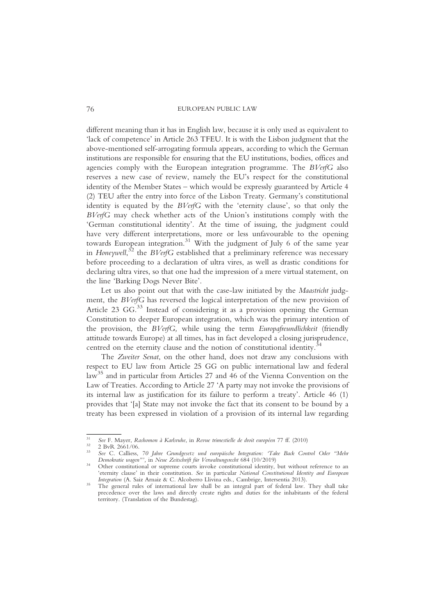different meaning than it has in English law, because it is only used as equivalent to 'lack of competence' in Article 263 TFEU. It is with the Lisbon judgment that the above-mentioned self-arrogating formula appears, according to which the German institutions are responsible for ensuring that the EU institutions, bodies, offices and agencies comply with the European integration programme. The BVerfG also reserves a new case of review, namely the EU's respect for the constitutional identity of the Member States – which would be expressly guaranteed by Article 4 (2) TEU after the entry into force of the Lisbon Treaty. Germany's constitutional identity is equated by the BVerfG with the 'eternity clause', so that only the BVerfG may check whether acts of the Union's institutions comply with the 'German constitutional identity'. At the time of issuing, the judgment could have very different interpretations, more or less unfavourable to the opening towards European integration.<sup>31</sup> With the judgment of July 6 of the same year in Honeywell,<sup>32</sup> the BVerfG established that a preliminary reference was necessary before proceeding to a declaration of ultra vires, as well as drastic conditions for declaring ultra vires, so that one had the impression of a mere virtual statement, on the line 'Barking Dogs Never Bite'.

Let us also point out that with the case-law initiated by the *Maastricht* judgment, the BVerfG has reversed the logical interpretation of the new provision of Article 23 GG.<sup>33</sup> Instead of considering it as a provision opening the German Constitution to deeper European integration, which was the primary intention of the provision, the BVerfG, while using the term Europafreundlichkeit (friendly attitude towards Europe) at all times, has in fact developed a closing jurisprudence, centred on the eternity clause and the notion of constitutional identity.<sup>3</sup>

The Zweiter Senat, on the other hand, does not draw any conclusions with respect to EU law from Article 25 GG on public international law and federal law<sup>35</sup> and in particular from Articles 27 and 46 of the Vienna Convention on the Law of Treaties. According to Article 27 'A party may not invoke the provisions of its internal law as justification for its failure to perform a treaty'. Article 46 (1) provides that '[a] State may not invoke the fact that its consent to be bound by a treaty has been expressed in violation of a provision of its internal law regarding

<sup>&</sup>lt;sup>31</sup> See F. Mayer, Rashomon à Karlsruhe, in Revue trimestielle de droit européen 77 ff. (2010)<br><sup>32</sup> 2 BvR 2661/06.<br><sup>33</sup> See C. Calliess, *70 Jahre Grundgesetz und europäische Integration: 'Take Back Control Oder ''Mehr<br>De* 

Other constitutional or supreme courts invoke constitutional identity, but without reference to an 'eternity clause' in their constitution. See in particular National Constitutional Identity and European Integration (A. Saiz Arnaiz & C. Alcoberro Llivina eds., Cambrige, Intersentia 2013).

The general rules of international law shall be an integral part of federal law. They shall take precedence over the laws and directly create rights and duties for the inhabitants of the federal territory. (Translation of the Bundestag).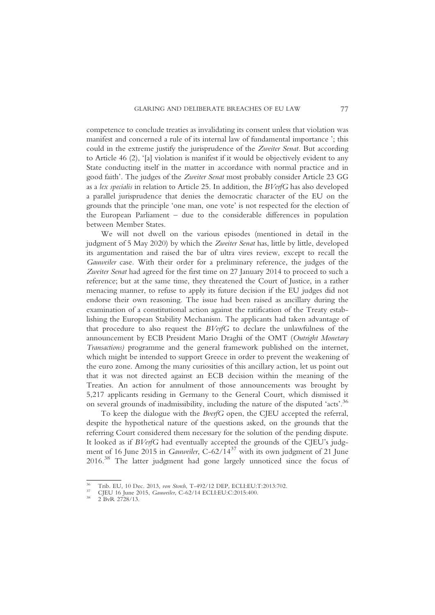competence to conclude treaties as invalidating its consent unless that violation was manifest and concerned a rule of its internal law of fundamental importance '; this could in the extreme justify the jurisprudence of the Zweiter Senat. But according to Article 46 (2), '[a] violation is manifest if it would be objectively evident to any State conducting itself in the matter in accordance with normal practice and in good faith'. The judges of the Zweiter Senat most probably consider Article 23 GG as a lex specialis in relation to Article 25. In addition, the BVerfG has also developed a parallel jurisprudence that denies the democratic character of the EU on the grounds that the principle 'one man, one vote' is not respected for the election of the European Parliament – due to the considerable differences in population between Member States.

We will not dwell on the various episodes (mentioned in detail in the judgment of 5 May 2020) by which the Zweiter Senat has, little by little, developed its argumentation and raised the bar of ultra vires review, except to recall the Gauweiler case. With their order for a preliminary reference, the judges of the Zweiter Senat had agreed for the first time on 27 January 2014 to proceed to such a reference; but at the same time, they threatened the Court of Justice, in a rather menacing manner, to refuse to apply its future decision if the EU judges did not endorse their own reasoning. The issue had been raised as ancillary during the examination of a constitutional action against the ratification of the Treaty establishing the European Stability Mechanism. The applicants had taken advantage of that procedure to also request the BVerfG to declare the unlawfulness of the announcement by ECB President Mario Draghi of the OMT (Outright Monetary Transactions) programme and the general framework published on the internet, which might be intended to support Greece in order to prevent the weakening of the euro zone. Among the many curiosities of this ancillary action, let us point out that it was not directed against an ECB decision within the meaning of the Treaties. An action for annulment of those announcements was brought by 5,217 applicants residing in Germany to the General Court, which dismissed it on several grounds of inadmissibility, including the nature of the disputed 'acts'. 36

To keep the dialogue with the BverfG open, the CJEU accepted the referral, despite the hypothetical nature of the questions asked, on the grounds that the referring Court considered them necessary for the solution of the pending dispute. It looked as if BVerfG had eventually accepted the grounds of the CJEU's judgment of 16 June 2015 in Gauweiler, C-62/14<sup>37</sup> with its own judgment of 21 June 2016.38 The latter judgment had gone largely unnoticed since the focus of

<sup>&</sup>lt;sup>36</sup> Trib. EU, 10 Dec. 2013, *von Storch*, T-492/12 DEP, ECLI:EU:T:2013:702.<br><sup>37</sup> CJEU 16 June 2015, *Gauweiler*, C-62/14 ECLI:EU:C:2015:400.<br><sup>38</sup> 2 BvR 2728/13.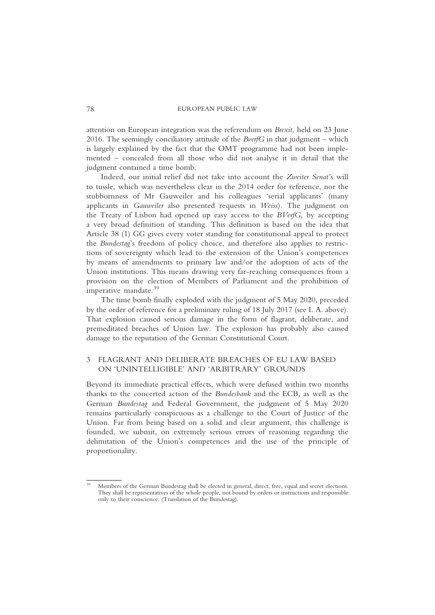attention on European integration was the referendum on Brexit, held on 23 June 2016. The seemingly conciliatory attitude of the *BverfG* in that judgment – which is largely explained by the fact that the OMT programme had not been implemented – concealed from all those who did not analyse it in detail that the judgment contained a time bomb.

Indeed, our initial relief did not take into account the Zweiter Senat's will to tussle, which was nevertheless clear in the 2014 order for reference, nor the stubbornness of Mr Gauweiler and his colleagues 'serial applicants' (many applicants in Gauweiler also presented requests in Weiss). The judgment on the Treaty of Lisbon had opened up easy access to the  $BVerfG$ , by accepting a very broad definition of standing. This definition is based on the idea that Article 38 (1) GG gives every voter standing for constitutional appeal to protect the Bundestag's freedom of policy choice, and therefore also applies to restrictions of sovereignty which lead to the extension of the Union's competences by means of amendments to primary law and/or the adoption of acts of the Union institutions. This means drawing very far-reaching consequences from a provision on the election of Members of Parliament and the prohibition of imperative mandate.<sup>39</sup>

The time bomb finally exploded with the judgment of 5 May 2020, preceded by the order of reference for a preliminary ruling of 18 July 2017 (see I. A. above). That explosion caused serious damage in the form of flagrant, deliberate, and premeditated breaches of Union law. The explosion has probably also caused damage to the reputation of the German Constitutional Court.

# 3 FLAGRANT AND DELIBERATE BREACHES OF EU LAW BASED ON 'UNINTELLIGIBLE' AND 'ARBITRARY' GROUNDS

Beyond its immediate practical effects, which were defused within two months thanks to the concerted action of the Bundesbank and the ECB, as well as the German Bundestag and Federal Government, the judgment of 5 May 2020 remains particularly conspicuous as a challenge to the Court of Justice of the Union. Far from being based on a solid and clear argument, this challenge is founded, we submit, on extremely serious errors of reasoning regarding the delimitation of the Union's competences and the use of the principle of proportionality.

Members of the German Bundestag shall be elected in general, direct, free, equal and secret elections. They shall be representatives of the whole people, not bound by orders or instructions and responsible only to their conscience. (Translation of the Bundestag).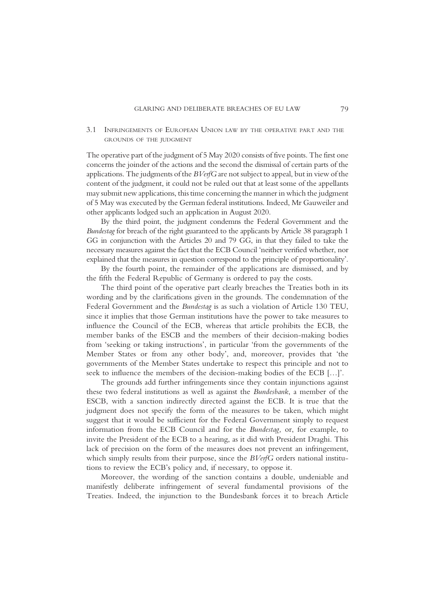3.1 INFRINGEMENTS OF EUROPEAN UNION LAW BY THE OPERATIVE PART AND THE GROUNDS OF THE JUDGMENT

The operative part of the judgment of 5 May 2020 consists of five points. The first one concerns the joinder of the actions and the second the dismissal of certain parts of the applications. The judgments of the BVerfG are not subject to appeal, but in view of the content of the judgment, it could not be ruled out that at least some of the appellants may submit new applications, this time concerning the manner in which the judgment of 5 May was executed by the German federal institutions. Indeed, Mr Gauweiler and other applicants lodged such an application in August 2020.

By the third point, the judgment condemns the Federal Government and the Bundestag for breach of the right guaranteed to the applicants by Article 38 paragraph 1 GG in conjunction with the Articles 20 and 79 GG, in that they failed to take the necessary measures against the fact that the ECB Council 'neither verified whether, nor explained that the measures in question correspond to the principle of proportionality'.

By the fourth point, the remainder of the applications are dismissed, and by the fifth the Federal Republic of Germany is ordered to pay the costs.

The third point of the operative part clearly breaches the Treaties both in its wording and by the clarifications given in the grounds. The condemnation of the Federal Government and the Bundestag is as such a violation of Article 130 TEU, since it implies that those German institutions have the power to take measures to influence the Council of the ECB, whereas that article prohibits the ECB, the member banks of the ESCB and the members of their decision-making bodies from 'seeking or taking instructions', in particular 'from the governments of the Member States or from any other body', and, moreover, provides that 'the governments of the Member States undertake to respect this principle and not to seek to influence the members of the decision-making bodies of the ECB […]'.

The grounds add further infringements since they contain injunctions against these two federal institutions as well as against the Bundesbank, a member of the ESCB, with a sanction indirectly directed against the ECB. It is true that the judgment does not specify the form of the measures to be taken, which might suggest that it would be sufficient for the Federal Government simply to request information from the ECB Council and for the Bundestag, or, for example, to invite the President of the ECB to a hearing, as it did with President Draghi. This lack of precision on the form of the measures does not prevent an infringement, which simply results from their purpose, since the *BVerfG* orders national institutions to review the ECB's policy and, if necessary, to oppose it.

Moreover, the wording of the sanction contains a double, undeniable and manifestly deliberate infringement of several fundamental provisions of the Treaties. Indeed, the injunction to the Bundesbank forces it to breach Article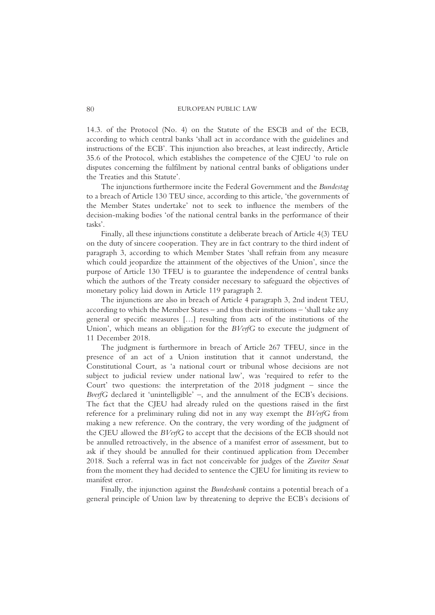14.3. of the Protocol (No. 4) on the Statute of the ESCB and of the ECB, according to which central banks 'shall act in accordance with the guidelines and instructions of the ECB'. This injunction also breaches, at least indirectly, Article 35.6 of the Protocol, which establishes the competence of the CJEU 'to rule on disputes concerning the fulfilment by national central banks of obligations under the Treaties and this Statute'.

The injunctions furthermore incite the Federal Government and the Bundestag to a breach of Article 130 TEU since, according to this article, 'the governments of the Member States undertake' not to seek to influence the members of the decision-making bodies 'of the national central banks in the performance of their tasks'.

Finally, all these injunctions constitute a deliberate breach of Article 4(3) TEU on the duty of sincere cooperation. They are in fact contrary to the third indent of paragraph 3, according to which Member States 'shall refrain from any measure which could jeopardize the attainment of the objectives of the Union', since the purpose of Article 130 TFEU is to guarantee the independence of central banks which the authors of the Treaty consider necessary to safeguard the objectives of monetary policy laid down in Article 119 paragraph 2.

The injunctions are also in breach of Article 4 paragraph 3, 2nd indent TEU, according to which the Member States – and thus their institutions – 'shall take any general or specific measures […] resulting from acts of the institutions of the Union', which means an obligation for the *BVerfG* to execute the judgment of 11 December 2018.

The judgment is furthermore in breach of Article 267 TFEU, since in the presence of an act of a Union institution that it cannot understand, the Constitutional Court, as 'a national court or tribunal whose decisions are not subject to judicial review under national law', was 'required to refer to the Court' two questions: the interpretation of the 2018 judgment – since the BverfG declared it 'unintelligible' –, and the annulment of the ECB's decisions. The fact that the CJEU had already ruled on the questions raised in the first reference for a preliminary ruling did not in any way exempt the BVerfG from making a new reference. On the contrary, the very wording of the judgment of the CJEU allowed the BVerfG to accept that the decisions of the ECB should not be annulled retroactively, in the absence of a manifest error of assessment, but to ask if they should be annulled for their continued application from December 2018. Such a referral was in fact not conceivable for judges of the Zweiter Senat from the moment they had decided to sentence the CJEU for limiting its review to manifest error.

Finally, the injunction against the Bundesbank contains a potential breach of a general principle of Union law by threatening to deprive the ECB's decisions of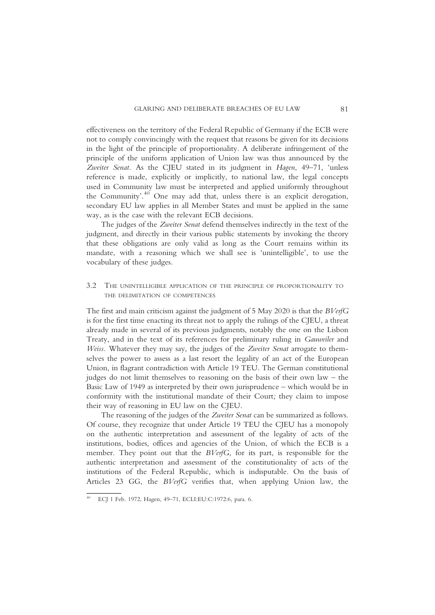effectiveness on the territory of the Federal Republic of Germany if the ECB were not to comply convincingly with the request that reasons be given for its decisions in the light of the principle of proportionality. A deliberate infringement of the principle of the uniform application of Union law was thus announced by the Zweiter Senat. As the CJEU stated in its judgment in Hagen, 49-71, 'unless reference is made, explicitly or implicitly, to national law, the legal concepts used in Community law must be interpreted and applied uniformly throughout the Community'.<sup>40</sup> One may add that, unless there is an explicit derogation, secondary EU law applies in all Member States and must be applied in the same way, as is the case with the relevant ECB decisions.

The judges of the Zweiter Senat defend themselves indirectly in the text of the judgment, and directly in their various public statements by invoking the theory that these obligations are only valid as long as the Court remains within its mandate, with a reasoning which we shall see is 'unintelligible', to use the vocabulary of these judges.

3.2 THE UNINTELLIGIBLE APPLICATION OF THE PRINCIPLE OF PROPORTIONALITY TO THE DELIMITATION OF COMPETENCES

The first and main criticism against the judgment of 5 May 2020 is that the BVerfG is for the first time enacting its threat not to apply the rulings of the CJEU, a threat already made in several of its previous judgments, notably the one on the Lisbon Treaty, and in the text of its references for preliminary ruling in Gauweiler and Weiss. Whatever they may say, the judges of the Zweiter Senat arrogate to themselves the power to assess as a last resort the legality of an act of the European Union, in flagrant contradiction with Article 19 TEU. The German constitutional judges do not limit themselves to reasoning on the basis of their own law – the Basic Law of 1949 as interpreted by their own jurisprudence – which would be in conformity with the institutional mandate of their Court; they claim to impose their way of reasoning in EU law on the CJEU.

The reasoning of the judges of the Zweiter Senat can be summarized as follows. Of course, they recognize that under Article 19 TEU the CJEU has a monopoly on the authentic interpretation and assessment of the legality of acts of the institutions, bodies, offices and agencies of the Union, of which the ECB is a member. They point out that the  $BVerfG$ , for its part, is responsible for the authentic interpretation and assessment of the constitutionality of acts of the institutions of the Federal Republic, which is indisputable. On the basis of Articles 23 GG, the BVerfG verifies that, when applying Union law, the

<sup>40</sup> ECJ 1 Feb. 1972, Hagen, 49–71, ECLI:EU:C:1972:6, para. 6.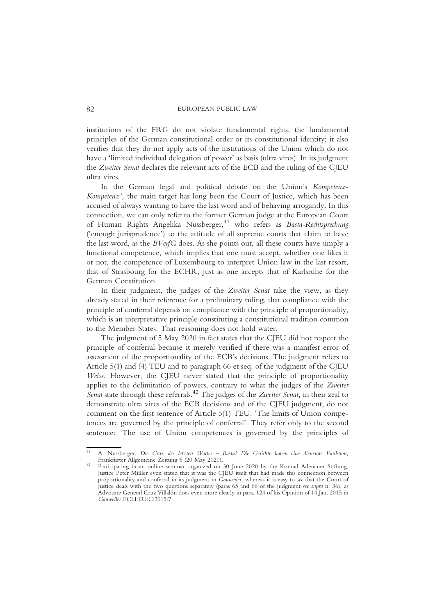institutions of the FRG do not violate fundamental rights, the fundamental principles of the German constitutional order or its constitutional identity; it also verifies that they do not apply acts of the institutions of the Union which do not have a 'limited individual delegation of power' as basis (ultra vires). In its judgment the Zweiter Senat declares the relevant acts of the ECB and the ruling of the CJEU ultra vires.

In the German legal and political debate on the Union's Kompetenz-Kompetenz', the main target has long been the Court of Justice, which has been accused of always wanting to have the last word and of behaving arrogantly. In this connection, we can only refer to the former German judge at the European Court of Human Rights Angelika Nussberger,<sup>41</sup> who refers as Basta-Rechtsprechung ('enough jurisprudence') to the attitude of all supreme courts that claim to have the last word, as the BVerfG does. As she points out, all these courts have simply a functional competence, which implies that one must accept, whether one likes it or not, the competence of Luxembourg to interpret Union law in the last resort, that of Strasbourg for the ECHR, just as one accepts that of Karlsruhe for the German Constitution.

In their judgment, the judges of the Zweiter Senat take the view, as they already stated in their reference for a preliminary ruling, that compliance with the principle of conferral depends on compliance with the principle of proportionality, which is an interpretative principle constituting a constitutional tradition common to the Member States. That reasoning does not hold water.

The judgment of 5 May 2020 in fact states that the CJEU did not respect the principle of conferral because it merely verified if there was a manifest error of assessment of the proportionality of the ECB's decisions. The judgment refers to Article 5(1) and (4) TEU and to paragraph 66 et seq. of the judgment of the CJEU Weiss. However, the CJEU never stated that the principle of proportionality applies to the delimitation of powers, contrary to what the judges of the Zweiter Senat state through these referrals.<sup>42</sup> The judges of the Zweiter Senat, in their zeal to demonstrate ultra vires of the ECB decisions and of the CJEU judgment, do not comment on the first sentence of Article 5(1) TEU: 'The limits of Union competences are governed by the principle of conferral'. They refer only to the second sentence: 'The use of Union competences is governed by the principles of

A. Nussberger, Die Crux des letzten Wortes – Basta? Die Gerichte haben eine dienende Funktion, Frankfurter Allgemeine Zeitung 6 (20 May 2020).

Participating in an online seminar organized on 30 June 2020 by the Konrad Adenauer Stiftung, Justice Peter Müller even stated that it was the CJEU itself that had made this connection between proportionality and conferral in its judgment in Gauweiler, whereas it is easy to see that the Court of Justice deals with the two questions separately (paras 65 and 66 of the judgment see supra n. 36), as Advocate General Cruz Villalón does even more clearly in para. 124 of his Opinion of 14 Jan. 2015 in Gauweiler ECLI:EU:C:2015:7.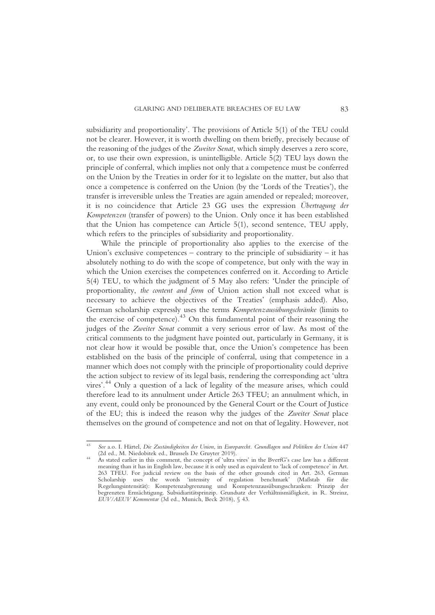subsidiarity and proportionality'. The provisions of Article 5(1) of the TEU could not be clearer. However, it is worth dwelling on them briefly, precisely because of the reasoning of the judges of the Zweiter Senat, which simply deserves a zero score, or, to use their own expression, is unintelligible. Article 5(2) TEU lays down the principle of conferral, which implies not only that a competence must be conferred on the Union by the Treaties in order for it to legislate on the matter, but also that once a competence is conferred on the Union (by the 'Lords of the Treaties'), the transfer is irreversible unless the Treaties are again amended or repealed; moreover, it is no coincidence that Article 23 GG uses the expression Übertragung der Kompetenzen (transfer of powers) to the Union. Only once it has been established that the Union has competence can Article 5(1), second sentence, TEU apply, which refers to the principles of subsidiarity and proportionality.

While the principle of proportionality also applies to the exercise of the Union's exclusive competences – contrary to the principle of subsidiarity – it has absolutely nothing to do with the scope of competence, but only with the way in which the Union exercises the competences conferred on it. According to Article 5(4) TEU, to which the judgment of 5 May also refers: 'Under the principle of proportionality, the content and form of Union action shall not exceed what is necessary to achieve the objectives of the Treaties' (emphasis added). Also, German scholarship expressly uses the terms Kompetenzausübungschränke (limits to the exercise of competence).43 On this fundamental point of their reasoning the judges of the Zweiter Senat commit a very serious error of law. As most of the critical comments to the judgment have pointed out, particularly in Germany, it is not clear how it would be possible that, once the Union's competence has been established on the basis of the principle of conferral, using that competence in a manner which does not comply with the principle of proportionality could deprive the action subject to review of its legal basis, rendering the corresponding act 'ultra vires'. <sup>44</sup> Only a question of a lack of legality of the measure arises, which could therefore lead to its annulment under Article 263 TFEU; an annulment which, in any event, could only be pronounced by the General Court or the Court of Justice of the EU; this is indeed the reason why the judges of the Zweiter Senat place themselves on the ground of competence and not on that of legality. However, not

See a.o. I. Härtel, Die Zuständigkeiten der Union, in Europarecht. Grundlagen und Politiken der Union 447 (2d ed., M. Niedobitek ed., Brussels De Gruyter 2019).

As stated earlier in this comment, the concept of 'ultra vires' in the BverfG's case law has a different meaning than it has in English law, because it is only used as equivalent to 'lack of competence' in Art. 263 TFEU. For judicial review on the basis of the other grounds cited in Art. 263, German Scholarship uses the words 'intensity of regulation benchmark' (Maßstab für die Regelungsintensität): Kompetenzabgrenzung und Kompetenzausübungsschranken: Prinzip der begrenzten Ermächtigung. Subsidiaritätsprinzip. Grundsatz der Verhältnismäßigkeit, in R. Streinz, EUV/AEUV Kommentar (3d ed., Munich, Beck 2018), § 43.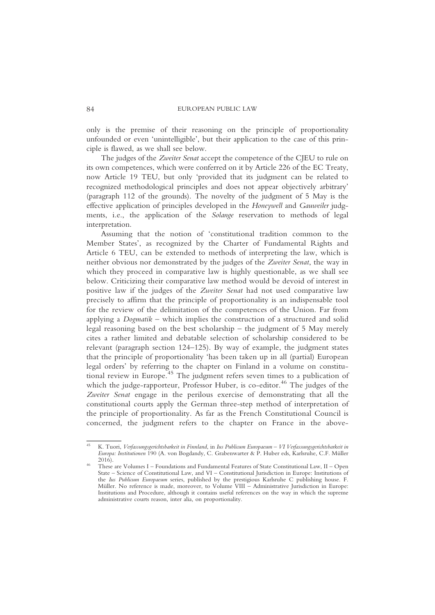only is the premise of their reasoning on the principle of proportionality unfounded or even 'unintelligible', but their application to the case of this principle is flawed, as we shall see below.

The judges of the Zweiter Senat accept the competence of the CJEU to rule on its own competences, which were conferred on it by Article 226 of the EC Treaty, now Article 19 TEU, but only 'provided that its judgment can be related to recognized methodological principles and does not appear objectively arbitrary' (paragraph 112 of the grounds). The novelty of the judgment of 5 May is the effective application of principles developed in the Honeywell and Gauweiler judgments, i.e., the application of the Solange reservation to methods of legal interpretation.

Assuming that the notion of 'constitutional tradition common to the Member States', as recognized by the Charter of Fundamental Rights and Article 6 TEU, can be extended to methods of interpreting the law, which is neither obvious nor demonstrated by the judges of the Zweiter Senat, the way in which they proceed in comparative law is highly questionable, as we shall see below. Criticizing their comparative law method would be devoid of interest in positive law if the judges of the Zweiter Senat had not used comparative law precisely to affirm that the principle of proportionality is an indispensable tool for the review of the delimitation of the competences of the Union. Far from applying a Dogmatik – which implies the construction of a structured and solid legal reasoning based on the best scholarship – the judgment of 5 May merely cites a rather limited and debatable selection of scholarship considered to be relevant (paragraph section 124–125). By way of example, the judgment states that the principle of proportionality 'has been taken up in all (partial) European legal orders' by referring to the chapter on Finland in a volume on constitutional review in Europe.<sup>45</sup> The judgment refers seven times to a publication of which the judge-rapporteur, Professor Huber, is co-editor.<sup>46</sup> The judges of the Zweiter Senat engage in the perilous exercise of demonstrating that all the constitutional courts apply the German three-step method of interpretation of the principle of proportionality. As far as the French Constitutional Council is concerned, the judgment refers to the chapter on France in the above-

<sup>45</sup> K. Tuori, Verfassungsgerichtsbarkeit in Finnland, in Ius Publicum Europaeum – VI Verfassungsgerichtsbarkeit in Europa: Institutionen 190 (A. von Bogdandy, C. Grabenwarter & P. Huber eds, Karlsruhe, C.F. Müller 2016). <sup>46</sup> These are Volumes I – Foundations and Fundamental Features of State Constitutional Law, II – Open

State – Science of Constitutional Law, and VI – Constitutional Jurisdiction in Europe: Institutions of the Ius Publicum Europaeum series, published by the prestigious Karlsruhe C publishing house. F. Müller. No reference is made, moreover, to Volume VIII – Administrative Jurisdiction in Europe: Institutions and Procedure, although it contains useful references on the way in which the supreme administrative courts reason, inter alia, on proportionality.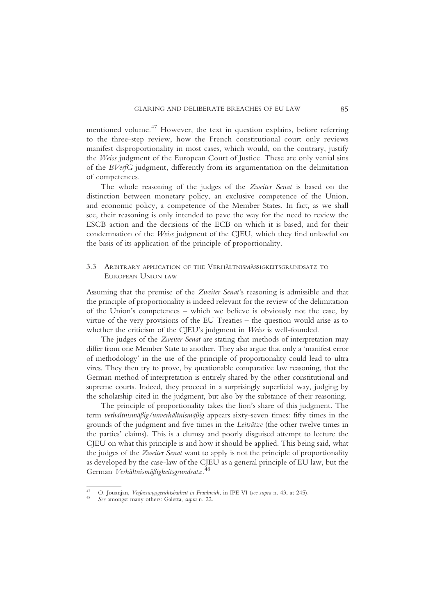mentioned volume.<sup>47</sup> However, the text in question explains, before referring to the three-step review, how the French constitutional court only reviews manifest disproportionality in most cases, which would, on the contrary, justify the Weiss judgment of the European Court of Justice. These are only venial sins of the BVerfG judgment, differently from its argumentation on the delimitation of competences.

The whole reasoning of the judges of the Zweiter Senat is based on the distinction between monetary policy, an exclusive competence of the Union, and economic policy, a competence of the Member States. In fact, as we shall see, their reasoning is only intended to pave the way for the need to review the ESCB action and the decisions of the ECB on which it is based, and for their condemnation of the Weiss judgment of the CJEU, which they find unlawful on the basis of its application of the principle of proportionality.

## 3.3 ARBITRARY APPLICATION OF THE VERHÄLTNISMÄSSIGKEITSGRUNDSATZ TO EUROPEAN UNION LAW

Assuming that the premise of the Zweiter Senat's reasoning is admissible and that the principle of proportionality is indeed relevant for the review of the delimitation of the Union's competences – which we believe is obviously not the case, by virtue of the very provisions of the EU Treaties – the question would arise as to whether the criticism of the CJEU's judgment in Weiss is well-founded.

The judges of the Zweiter Senat are stating that methods of interpretation may differ from one Member State to another. They also argue that only a 'manifest error of methodology' in the use of the principle of proportionality could lead to ultra vires. They then try to prove, by questionable comparative law reasoning, that the German method of interpretation is entirely shared by the other constitutional and supreme courts. Indeed, they proceed in a surprisingly superficial way, judging by the scholarship cited in the judgment, but also by the substance of their reasoning.

The principle of proportionality takes the lion's share of this judgment. The term verhältnismäßig/unverhältnismäßig appears sixty-seven times: fifty times in the grounds of the judgment and five times in the Leitsätze (the other twelve times in the parties' claims). This is a clumsy and poorly disguised attempt to lecture the CJEU on what this principle is and how it should be applied. This being said, what the judges of the Zweiter Senat want to apply is not the principle of proportionality as developed by the case-law of the CJEU as a general principle of EU law, but the German Verhältnismäßigkeitsgrundsatz.<sup>48</sup>

O. Jouanjan, Verfassungsgerichtsbarkeit in Frankreich, in IPE VI (see supra n. 43, at 245). See amongst many others: Galetta, supra n. 22.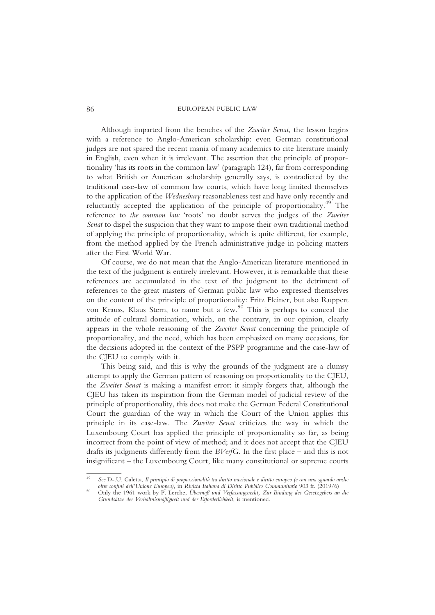Although imparted from the benches of the Zweiter Senat, the lesson begins with a reference to Anglo-American scholarship: even German constitutional judges are not spared the recent mania of many academics to cite literature mainly in English, even when it is irrelevant. The assertion that the principle of proportionality 'has its roots in the common law' (paragraph 124), far from corresponding to what British or American scholarship generally says, is contradicted by the traditional case-law of common law courts, which have long limited themselves to the application of the Wednesbury reasonableness test and have only recently and reluctantly accepted the application of the principle of proportionality.<sup>49</sup> The reference to the common law 'roots' no doubt serves the judges of the Zweiter Senat to dispel the suspicion that they want to impose their own traditional method of applying the principle of proportionality, which is quite different, for example, from the method applied by the French administrative judge in policing matters after the First World War.

Of course, we do not mean that the Anglo-American literature mentioned in the text of the judgment is entirely irrelevant. However, it is remarkable that these references are accumulated in the text of the judgment to the detriment of references to the great masters of German public law who expressed themselves on the content of the principle of proportionality: Fritz Fleiner, but also Ruppert von Krauss, Klaus Stern, to name but a few.<sup>50</sup> This is perhaps to conceal the attitude of cultural domination, which, on the contrary, in our opinion, clearly appears in the whole reasoning of the Zweiter Senat concerning the principle of proportionality, and the need, which has been emphasized on many occasions, for the decisions adopted in the context of the PSPP programme and the case-law of the CJEU to comply with it.

This being said, and this is why the grounds of the judgment are a clumsy attempt to apply the German pattern of reasoning on proportionality to the CJEU, the Zweiter Senat is making a manifest error: it simply forgets that, although the CJEU has taken its inspiration from the German model of judicial review of the principle of proportionality, this does not make the German Federal Constitutional Court the guardian of the way in which the Court of the Union applies this principle in its case-law. The Zweiter Senat criticizes the way in which the Luxembourg Court has applied the principle of proportionality so far, as being incorrect from the point of view of method; and it does not accept that the CJEU drafts its judgments differently from the BVerfG. In the first place – and this is not insignificant – the Luxembourg Court, like many constitutional or supreme courts

See D-.U. Galetta, Il principio di proporzionalità tra diritto nazionale e diritto europeo (e con una sguardo anche<br>oltre confini dell'Unione Europea), in Rivista Italiana di Diritto Pubblico Communitario 903 ff. (2019/6)

Only the 1961 work by P. Lerche, Übermaß und Verfassungsrecht, Zur Bindung des Gesetzgebers an die Grundsätze der Verhältnismäßigkeit und der Erforderlichkeit, is mentioned.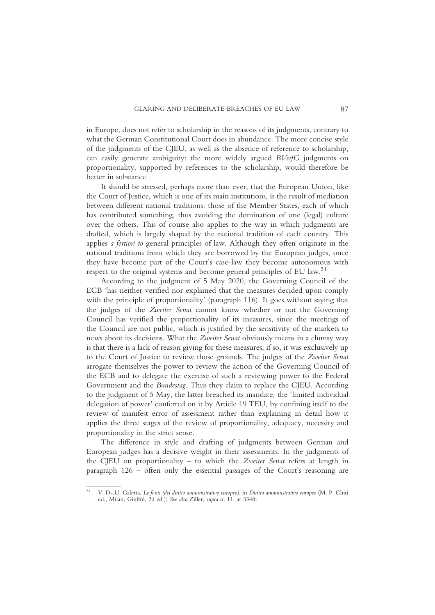in Europe, does not refer to scholarship in the reasons of its judgments, contrary to what the German Constitutional Court does in abundance. The more concise style of the judgments of the CJEU, as well as the absence of reference to scholarship, can easily generate ambiguity: the more widely argued BVerfG judgments on proportionality, supported by references to the scholarship, would therefore be better in substance.

It should be stressed, perhaps more than ever, that the European Union, like the Court of Justice, which is one of its main institutions, is the result of mediation between different national traditions: those of the Member States, each of which has contributed something, thus avoiding the domination of one (legal) culture over the others. This of course also applies to the way in which judgments are drafted, which is largely shaped by the national tradition of each country. This applies a fortiori to general principles of law. Although they often originate in the national traditions from which they are borrowed by the European judges, once they have become part of the Court's case-law they become autonomous with respect to the original systems and become general principles of EU law.<sup>51</sup>

According to the judgment of 5 May 2020, the Governing Council of the ECB 'has neither verified nor explained that the measures decided upon comply with the principle of proportionality' (paragraph 116). It goes without saying that the judges of the Zweiter Senat cannot know whether or not the Governing Council has verified the proportionality of its measures, since the meetings of the Council are not public, which is justified by the sensitivity of the markets to news about its decisions. What the Zweiter Senat obviously means in a clumsy way is that there is a lack of reason giving for these measures; if so, it was exclusively up to the Court of Justice to review those grounds. The judges of the Zweiter Senat arrogate themselves the power to review the action of the Governing Council of the ECB and to delegate the exercise of such a reviewing power to the Federal Government and the Bundestag. Thus they claim to replace the CJEU. According to the judgment of 5 May, the latter breached its mandate, the 'limited individual delegation of power' conferred on it by Article 19 TEU, by confining itself to the review of manifest error of assessment rather than explaining in detail how it applies the three stages of the review of proportionality, adequacy, necessity and proportionality in the strict sense.

The difference in style and drafting of judgments between German and European judges has a decisive weight in their assessments. In the judgments of the CJEU on proportionality – to which the Zweiter Senat refers at length in paragraph 126 – often only the essential passages of the Court's reasoning are

<sup>51</sup> V. D-.U. Galetta, Le fonti (del diritto amministrativo europeo), in Diritto amministrativo europeo (M. P. Chiti ed., Milan, Giuffrè, 2d ed.); See also Ziller, supra n. 11, at 334ff.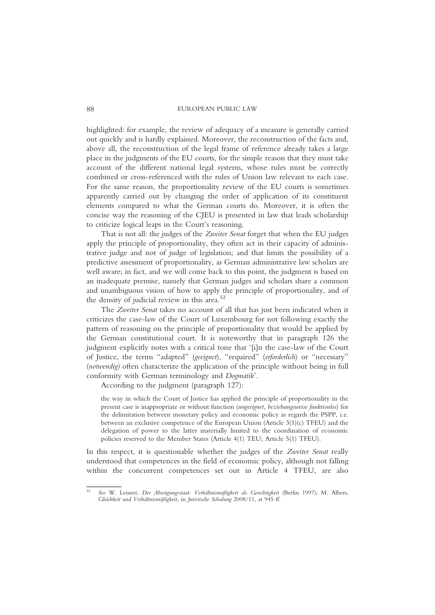highlighted: for example, the review of adequacy of a measure is generally carried out quickly and is hardly explained. Moreover, the reconstruction of the facts and, above all, the reconstruction of the legal frame of reference already takes a large place in the judgments of the EU courts, for the simple reason that they must take account of the different national legal systems, whose rules must be correctly combined or cross-referenced with the rules of Union law relevant to each case. For the same reason, the proportionality review of the EU courts is sometimes apparently carried out by changing the order of application of its constituent elements compared to what the German courts do. Moreover, it is often the concise way the reasoning of the CJEU is presented in law that leads scholarship to criticize logical leaps in the Court's reasoning.

That is not all: the judges of the Zweiter Senat forget that when the EU judges apply the principle of proportionality, they often act in their capacity of administrative judge and not of judge of legislation; and that limits the possibility of a predictive assessment of proportionality, as German administrative law scholars are well aware; in fact, and we will come back to this point, the judgment is based on an inadequate premise, namely that German judges and scholars share a common and unambiguous vision of how to apply the principle of proportionality, and of the density of judicial review in this area.<sup>52</sup>

The Zweiter Senat takes no account of all that has just been indicated when it criticizes the case-law of the Court of Luxembourg for not following exactly the pattern of reasoning on the principle of proportionality that would be applied by the German constitutional court. It is noteworthy that in paragraph 126 the judgment explicitly notes with a critical tone that '[i]n the case-law of the Court of Justice, the terms "adapted" (geeignet), "required" (erforderlich) or "necessary" (notwendig) often characterize the application of the principle without being in full conformity with German terminology and Dogmatik'.

According to the judgment (paragraph 127):

the way in which the Court of Justice has applied the principle of proportionality in the present case is inappropriate or without function (ungeeignet, beziehungsweise funktionlos) for the delimitation between monetary policy and economic policy as regards the PSPP, i.e. between an exclusive competence of the European Union (Article 3(1)(c) TFEU) and the delegation of power to the latter materially limited to the coordination of economic policies reserved to the Member States (Article 4(1) TEU; Article 5(1) TFEU).

In this respect, it is questionable whether the judges of the Zweiter Senat really understood that competences in the field of economic policy, although not falling within the concurrent competences set out in Article 4 TFEU, are also

<sup>52</sup> See W. Leisner, Der Abwägungsstaat: Verhältnismäßigkeit als Gerechtigkeit (Berlin 1997); M. Albers, Gleichheit und Verhältnismäßigkeit, in Juristische Schulung 2008/11, at 945 ff.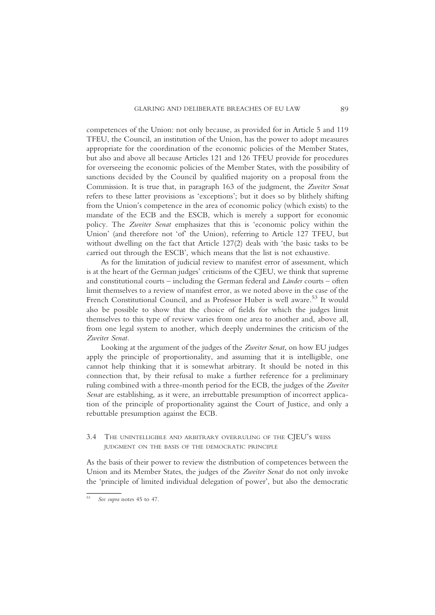competences of the Union: not only because, as provided for in Article 5 and 119 TFEU, the Council, an institution of the Union, has the power to adopt measures appropriate for the coordination of the economic policies of the Member States, but also and above all because Articles 121 and 126 TFEU provide for procedures for overseeing the economic policies of the Member States, with the possibility of sanctions decided by the Council by qualified majority on a proposal from the Commission. It is true that, in paragraph 163 of the judgment, the Zweiter Senat refers to these latter provisions as 'exceptions'; but it does so by blithely shifting from the Union's competence in the area of economic policy (which exists) to the mandate of the ECB and the ESCB, which is merely a support for economic policy. The Zweiter Senat emphasizes that this is 'economic policy within the Union' (and therefore not 'of' the Union), referring to Article 127 TFEU, but without dwelling on the fact that Article 127(2) deals with 'the basic tasks to be carried out through the ESCB', which means that the list is not exhaustive.

As for the limitation of judicial review to manifest error of assessment, which is at the heart of the German judges' criticisms of the CJEU, we think that supreme and constitutional courts – including the German federal and Länder courts – often limit themselves to a review of manifest error, as we noted above in the case of the French Constitutional Council, and as Professor Huber is well aware.<sup>53</sup> It would also be possible to show that the choice of fields for which the judges limit themselves to this type of review varies from one area to another and, above all, from one legal system to another, which deeply undermines the criticism of the Zweiter Senat.

Looking at the argument of the judges of the Zweiter Senat, on how EU judges apply the principle of proportionality, and assuming that it is intelligible, one cannot help thinking that it is somewhat arbitrary. It should be noted in this connection that, by their refusal to make a further reference for a preliminary ruling combined with a three-month period for the ECB, the judges of the Zweiter Senat are establishing, as it were, an irrebuttable presumption of incorrect application of the principle of proportionality against the Court of Justice, and only a rebuttable presumption against the ECB.

# 3.4 THE UNINTELLIGIBLE AND ARBITRARY OVERRULING OF THE CIEU's WEISS JUDGMENT ON THE BASIS OF THE DEMOCRATIC PRINCIPLE

As the basis of their power to review the distribution of competences between the Union and its Member States, the judges of the *Zweiter Senat* do not only invoke the 'principle of limited individual delegation of power', but also the democratic

<sup>53</sup> See supra notes 45 to 47.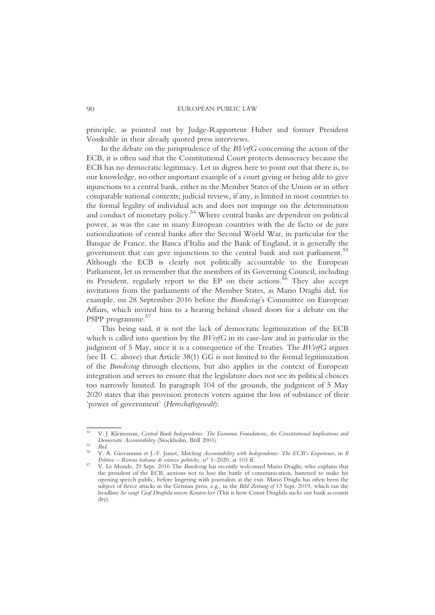principle, as pointed out by Judge-Rapporteur Huber and former President Vosskuhle in their already quoted press interviews.

In the debate on the jurisprudence of the BVerfG concerning the action of the ECB, it is often said that the Constitutional Court protects democracy because the ECB has no democratic legitimacy. Let us digress here to point out that there is, to our knowledge, no other important example of a court giving or being able to give injunctions to a central bank, either in the Member States of the Union or in other comparable national contexts; judicial review, if any, is limited in most countries to the formal legality of individual acts and does not impinge on the determination and conduct of monetary policy.<sup>54</sup> Where central banks are dependent on political power, as was the case in many European countries with the de facto or de jure nationalization of central banks after the Second World War, in particular for the Banque de France, the Banca d'Italia and the Bank of England, it is generally the government that can give injunctions to the central bank and not parliament.<sup>55</sup> Although the ECB is clearly not politically accountable to the European Parliament, let us remember that the members of its Governing Council, including its President, regularly report to the EP on their actions.<sup>56</sup> They also accept invitations from the parliaments of the Member States, as Mario Draghi did, for example, on 28 September 2016 before the Bundestag's Committee on European Affairs, which invited him to a hearing behind closed doors for a debate on the PSPP programme.<sup>57</sup>

This being said, it is not the lack of democratic legitimization of the ECB which is called into question by the  $BVerfG$  in its case-law and in particular in the judgment of 5 May, since it is a consequence of the Treaties. The BVerfG argues (see II. C. above) that Article 38(1) GG is not limited to the formal legitimization of the Bundestag through elections, but also applies in the context of European integration and serves to ensure that the legislature does not see its political choices too narrowly limited. In paragraph 104 of the grounds, the judgment of 5 May 2020 states that this provision protects voters against the loss of substance of their 'power of government' (Herrschaftsgewalt):

<sup>&</sup>lt;sup>54</sup> V. J. Kleineman, *Central Bank Independence: The Economic Foundations, the Constitutional Implications and Democratic Accountability (Stockholm, Brill 2001).* 

Ibid.<br>V. A. Giovannini et J.-F. Jamet, Matching Accountability with Independence: The ECB's Experience, in Il<br>Politico – Rivista italiana di scienze politiche, n° 1–2020, at 103 ff.

V. Le Monde, 29 Sept. 2016 The Bundestag has recently welcomed Mario Draghi, who explains that the president of the ECB, anxious not to lose the battle of communication, hastened to make his opening speech public, before lingering with journalists at the exit. Mario Draghi has often been the subject of fierce attacks in the German press, e.g., in the Bild Zeitung of 13 Sept. 2019, which ran the headline So saugt Graf Draghila unsere Konten leer (This is how Count Draghila sucks our bank accounts dry).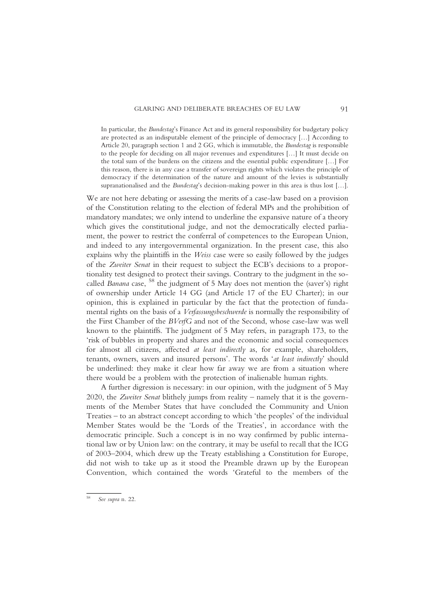In particular, the Bundestag's Finance Act and its general responsibility for budgetary policy are protected as an indisputable element of the principle of democracy […] According to Article 20, paragraph section 1 and 2 GG, which is immutable, the Bundestag is responsible to the people for deciding on all major revenues and expenditures […] It must decide on the total sum of the burdens on the citizens and the essential public expenditure […] For this reason, there is in any case a transfer of sovereign rights which violates the principle of democracy if the determination of the nature and amount of the levies is substantially supranationalised and the *Bundestag's* decision-making power in this area is thus lost [...].

We are not here debating or assessing the merits of a case-law based on a provision of the Constitution relating to the election of federal MPs and the prohibition of mandatory mandates; we only intend to underline the expansive nature of a theory which gives the constitutional judge, and not the democratically elected parliament, the power to restrict the conferral of competences to the European Union, and indeed to any intergovernmental organization. In the present case, this also explains why the plaintiffs in the Weiss case were so easily followed by the judges of the Zweiter Senat in their request to subject the ECB's decisions to a proportionality test designed to protect their savings. Contrary to the judgment in the socalled Banana case, <sup>58</sup> the judgment of 5 May does not mention the (saver's) right of ownership under Article 14 GG (and Article 17 of the EU Charter); in our opinion, this is explained in particular by the fact that the protection of fundamental rights on the basis of a Verfassungsbeschwerde is normally the responsibility of the First Chamber of the BVerfG and not of the Second, whose case-law was well known to the plaintiffs. The judgment of 5 May refers, in paragraph 173, to the 'risk of bubbles in property and shares and the economic and social consequences for almost all citizens, affected at least indirectly as, for example, shareholders, tenants, owners, savers and insured persons'. The words 'at least indirectly' should be underlined: they make it clear how far away we are from a situation where there would be a problem with the protection of inalienable human rights.

A further digression is necessary: in our opinion, with the judgment of 5 May 2020, the Zweiter Senat blithely jumps from reality – namely that it is the governments of the Member States that have concluded the Community and Union Treaties – to an abstract concept according to which 'the peoples' of the individual Member States would be the 'Lords of the Treaties', in accordance with the democratic principle. Such a concept is in no way confirmed by public international law or by Union law: on the contrary, it may be useful to recall that the ICG of 2003–2004, which drew up the Treaty establishing a Constitution for Europe, did not wish to take up as it stood the Preamble drawn up by the European Convention, which contained the words 'Grateful to the members of the

See supra n. 22.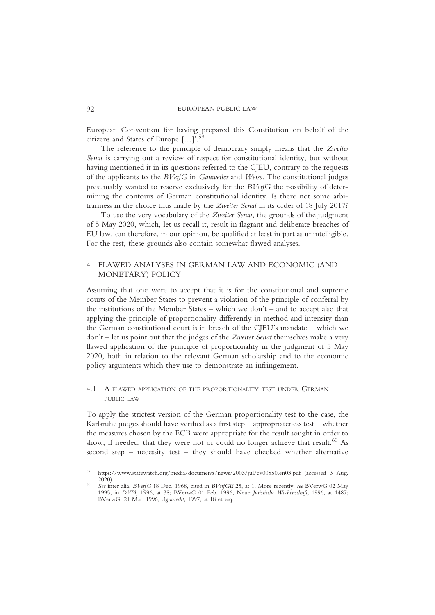European Convention for having prepared this Constitution on behalf of the citizens and States of Europe  $\left[-1\right]^5$ citizens and States of Europe […]'.

The reference to the principle of democracy simply means that the Zweiter Senat is carrying out a review of respect for constitutional identity, but without having mentioned it in its questions referred to the CJEU, contrary to the requests of the applicants to the BVerfG in Gauweiler and Weiss. The constitutional judges presumably wanted to reserve exclusively for the BVerfG the possibility of determining the contours of German constitutional identity. Is there not some arbitrariness in the choice thus made by the Zweiter Senat in its order of 18 July 2017?

To use the very vocabulary of the Zweiter Senat, the grounds of the judgment of 5 May 2020, which, let us recall it, result in flagrant and deliberate breaches of EU law, can therefore, in our opinion, be qualified at least in part as unintelligible. For the rest, these grounds also contain somewhat flawed analyses.

## 4 FLAWED ANALYSES IN GERMAN LAW AND ECONOMIC (AND MONETARY) POLICY

Assuming that one were to accept that it is for the constitutional and supreme courts of the Member States to prevent a violation of the principle of conferral by the institutions of the Member States – which we don't – and to accept also that applying the principle of proportionality differently in method and intensity than the German constitutional court is in breach of the CJEU's mandate – which we  $don't$  – let us point out that the judges of the Zweiter Senat themselves make a very flawed application of the principle of proportionality in the judgment of 5 May 2020, both in relation to the relevant German scholarship and to the economic policy arguments which they use to demonstrate an infringement.

## 4.1 A FLAWED APPLICATION OF THE PROPORTIONALITY TEST UNDER GERMAN PUBLIC LAW

To apply the strictest version of the German proportionality test to the case, the Karlsruhe judges should have verified as a first step – appropriateness test – whether the measures chosen by the ECB were appropriate for the result sought in order to show, if needed, that they were not or could no longer achieve that result.<sup>60</sup> As second step – necessity test – they should have checked whether alternative

https://www.statewatch.org/media/documents/news/2003/jul/cv00850.en03.pdf (accessed 3 Aug. 2020)

<sup>2020).</sup> <sup>60</sup> See inter alia, BVerfG 18 Dec. 1968, cited in BVerfGE 25, at 1. More recently, see BVerwG 02 May 1995, in DVBl, 1996, at 38; BVerwG 01 Feb. 1996, Neue Juristische Wochenschrift, 1996, at 1487; BVerwG, 21 Mar. 1996, Agrarrecht, 1997, at 18 et seq.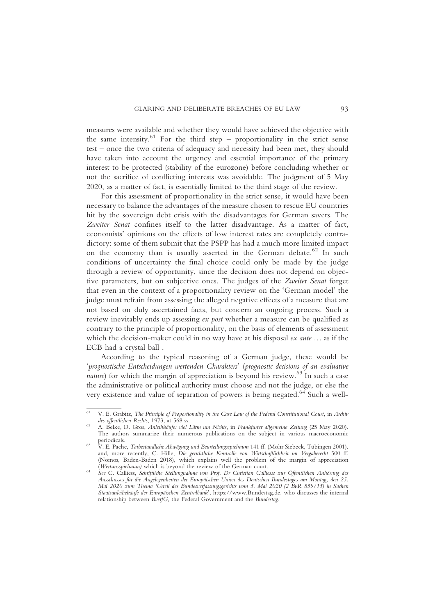measures were available and whether they would have achieved the objective with the same intensity. $61$  For the third step – proportionality in the strict sense test – once the two criteria of adequacy and necessity had been met, they should have taken into account the urgency and essential importance of the primary interest to be protected (stability of the eurozone) before concluding whether or not the sacrifice of conflicting interests was avoidable. The judgment of 5 May 2020, as a matter of fact, is essentially limited to the third stage of the review.

For this assessment of proportionality in the strict sense, it would have been necessary to balance the advantages of the measure chosen to rescue EU countries hit by the sovereign debt crisis with the disadvantages for German savers. The Zweiter Senat confines itself to the latter disadvantage. As a matter of fact, economists' opinions on the effects of low interest rates are completely contradictory: some of them submit that the PSPP has had a much more limited impact on the economy than is usually asserted in the German debate.<sup>62</sup> In such conditions of uncertainty the final choice could only be made by the judge through a review of opportunity, since the decision does not depend on objective parameters, but on subjective ones. The judges of the Zweiter Senat forget that even in the context of a proportionality review on the 'German model' the judge must refrain from assessing the alleged negative effects of a measure that are not based on duly ascertained facts, but concern an ongoing process. Such a review inevitably ends up assessing ex post whether a measure can be qualified as contrary to the principle of proportionality, on the basis of elements of assessment which the decision-maker could in no way have at his disposal *ex ante* ... as if the ECB had a crystal ball .

According to the typical reasoning of a German judge, these would be 'prognostische Entscheidungen wertenden Charakters' (prognostic decisions of an evaluative *nature*) for which the margin of appreciation is beyond his review.<sup>63</sup> In such a case the administrative or political authority must choose and not the judge, or else the very existence and value of separation of powers is being negated.<sup>64</sup> Such a well-

V. E. Grabitz, The Principle of Proportionality in the Case Law of the Federal Constitutional Court, in Archiv des öffentlichen Rechts, 1973, at 568 ss.

A. Belke, D. Gros, Anleihkäufe: viel Lärm um Nichts, in Frankfurter allgemeine Zeitung (25 May 2020). The authors summarize their numerous publications on the subject in various macroeconomic periodicals.<br>V. E. Pache, Tatbestandliche Abwägung und Beurteilungsspielraum 141 ff. (Mohr Siebeck, Tübingen 2001).

and, more recently, C. Hille, Die gerichtliche Kontrolle von Wirtschaftlichkeit im Vergaberecht 500 ff. (Nomos, Baden-Baden 2018), which explains well the problem of the margin of appreciation (Wertunsspielraum) which is beyond the review of the German court.

See C. Calliess, Schriftliche Stellungnahme von Prof. Dr Christian Calliesss zur Öffentlichen Anhörung des Ausschusses für die Angelegenheiten der Europäischen Union des Deutschen Bundestages am Montag, den 25. Mai 2020 zum Thema 'Urteil des Bundesverfassungsgerichts vom 5. Mai 2020 (2 BvR 859/15) in Sachen Staatsanleihekäufe der Europäischen Zentralbank', https://www.Bundestag.de. who discusses the internal relationship between BverfG, the Federal Government and the Bundestag.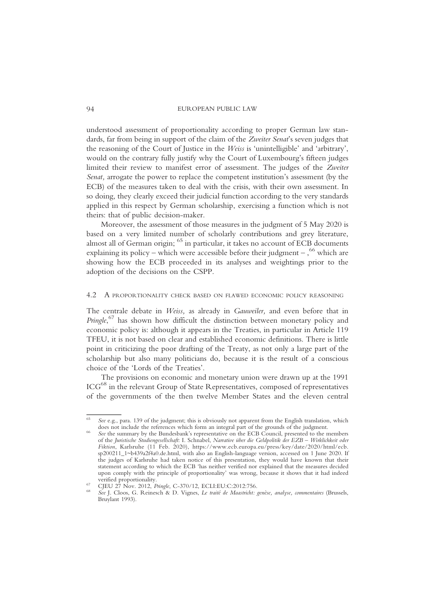understood assessment of proportionality according to proper German law standards, far from being in support of the claim of the Zweiter Senat's seven judges that the reasoning of the Court of Justice in the Weiss is 'unintelligible' and 'arbitrary', would on the contrary fully justify why the Court of Luxembourg's fifteen judges limited their review to manifest error of assessment. The judges of the Zweiter Senat, arrogate the power to replace the competent institution's assessment (by the ECB) of the measures taken to deal with the crisis, with their own assessment. In so doing, they clearly exceed their judicial function according to the very standards applied in this respect by German scholarship, exercising a function which is not theirs: that of public decision-maker.

Moreover, the assessment of those measures in the judgment of 5 May 2020 is based on a very limited number of scholarly contributions and grey literature, almost all of German origin; <sup>65</sup> in particular, it takes no account of ECB documents explaining its policy – which were accessible before their judgment –,  $66$  which are showing how the ECB proceeded in its analyses and weightings prior to the adoption of the decisions on the CSPP.

## 4.2 A PROPORTIONALITY CHECK BASED ON FLAWED ECONOMIC POLICY REASONING

The centrale debate in Weiss, as already in Gauweiler, and even before that in Pringle,<sup>67</sup> has shown how difficult the distinction between monetary policy and economic policy is: although it appears in the Treaties, in particular in Article 119 TFEU, it is not based on clear and established economic definitions. There is little point in criticizing the poor drafting of the Treaty, as not only a large part of the scholarship but also many politicians do, because it is the result of a conscious choice of the 'Lords of the Treaties'.

The provisions on economic and monetary union were drawn up at the 1991 ICG68 in the relevant Group of State Representatives, composed of representatives of the governments of the then twelve Member States and the eleven central

 $65$  See e.g., para. 139 of the judgment; this is obviously not apparent from the English translation, which does not include the references which form an integral part of the grounds of the judgment.

See the summary by the Bundesbank's representative on the ECB Council, presented to the members of the Juristische Studiengesellschaft: I. Schnabel, Narrative über die Geldpolitik der EZB – Wirklichkeit oder Fiktion, Karlsruhe (11 Feb. 2020), https://www.ecb.europa.eu/press/key/date/2020/html/ecb. sp200211\_1~b439a2f4a0.de.html, with also an English-language version, accessed on 1 June 2020. If the judges of Karlsruhe had taken notice of this presentation, they would have known that their statement according to which the ECB 'has neither verified nor explained that the measures decided upon comply with the principle of proportionality' was wrong, because it shows that it had indeed

CJEU 27 Nov. 2012, Pringle, C-370/12, ECLI:EU:C:2012:756.<br>See J. Cloos, G. Reinesch & D. Vignes, Le traité de Maastricht: genèse, analyse, commentaires (Brussels, Bruylant 1993).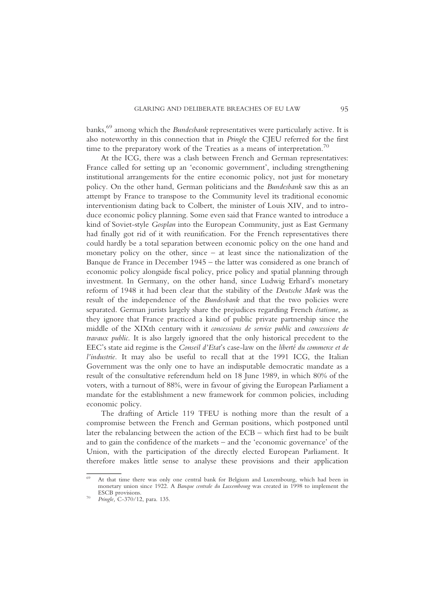banks,<sup>69</sup> among which the *Bundesbank* representatives were particularly active. It is also noteworthy in this connection that in Pringle the CJEU referred for the first time to the preparatory work of the Treaties as a means of interpretation.<sup>70</sup>

At the ICG, there was a clash between French and German representatives: France called for setting up an 'economic government', including strengthening institutional arrangements for the entire economic policy, not just for monetary policy. On the other hand, German politicians and the Bundesbank saw this as an attempt by France to transpose to the Community level its traditional economic interventionism dating back to Colbert, the minister of Louis XIV, and to introduce economic policy planning. Some even said that France wanted to introduce a kind of Soviet-style Gosplan into the European Community, just as East Germany had finally got rid of it with reunification. For the French representatives there could hardly be a total separation between economic policy on the one hand and monetary policy on the other, since – at least since the nationalization of the Banque de France in December 1945 – the latter was considered as one branch of economic policy alongside fiscal policy, price policy and spatial planning through investment. In Germany, on the other hand, since Ludwig Erhard's monetary reform of 1948 it had been clear that the stability of the Deutsche Mark was the result of the independence of the Bundesbank and that the two policies were separated. German jurists largely share the prejudices regarding French étatisme, as they ignore that France practiced a kind of public private partnership since the middle of the XIXth century with it concessions de service public and concessions de travaux public. It is also largely ignored that the only historical precedent to the EEC's state aid regime is the Conseil d'Etat's case-law on the liberté du commerce et de l'industrie. It may also be useful to recall that at the 1991 ICG, the Italian Government was the only one to have an indisputable democratic mandate as a result of the consultative referendum held on 18 June 1989, in which 80% of the voters, with a turnout of 88%, were in favour of giving the European Parliament a mandate for the establishment a new framework for common policies, including economic policy.

The drafting of Article 119 TFEU is nothing more than the result of a compromise between the French and German positions, which postponed until later the rebalancing between the action of the ECB – which first had to be built and to gain the confidence of the markets – and the 'economic governance' of the Union, with the participation of the directly elected European Parliament. It therefore makes little sense to analyse these provisions and their application

<sup>69</sup> At that time there was only one central bank for Belgium and Luxembourg, which had been in monetary union since 1922. A *Banque centrale du Luxembourg* was created in 1998 to implement the ESCB provisions

Pringle, C-370/12, para. 135.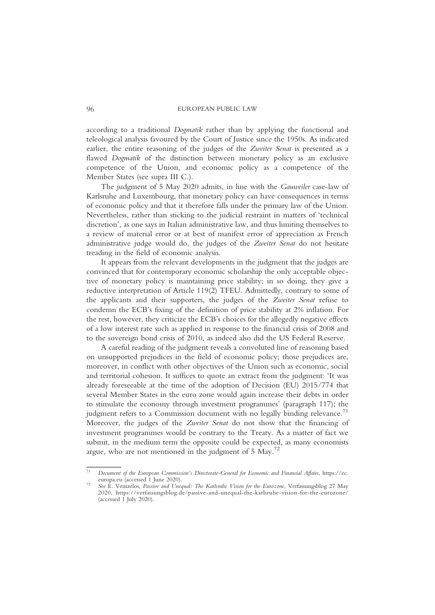according to a traditional Dogmatik rather than by applying the functional and teleological analysis favoured by the Court of Justice since the 1950s. As indicated earlier, the entire reasoning of the judges of the Zweiter Senat is presented as a flawed *Dogmatik* of the distinction between monetary policy as an exclusive competence of the Union, and economic policy as a competence of the Member States (see supra III C.).

The judgment of 5 May 2020 admits, in line with the Gauweiler case-law of Karlsruhe and Luxembourg, that monetary policy can have consequences in terms of economic policy and that it therefore falls under the primary law of the Union. Nevertheless, rather than sticking to the judicial restraint in matters of 'technical discretion', as one says in Italian administrative law, and thus limiting themselves to a review of material error or at best of manifest error of appreciation as French administrative judge would do, the judges of the Zweiter Senat do not hesitate treading in the field of economic analysis.

It appears from the relevant developments in the judgment that the judges are convinced that for contemporary economic scholarship the only acceptable objective of monetary policy is maintaining price stability; in so doing, they give a reductive interpretation of Article 119(2) TFEU. Admittedly, contrary to some of the applicants and their supporters, the judges of the Zweiter Senat refuse to condemn the ECB's fixing of the definition of price stability at 2% inflation. For the rest, however, they criticize the ECB's choices for the allegedly negative effects of a low interest rate such as applied in response to the financial crisis of 2008 and to the sovereign bond crisis of 2010, as indeed also did the US Federal Reserve.

A careful reading of the judgment reveals a convoluted line of reasoning based on unsupported prejudices in the field of economic policy; those prejudices are, moreover, in conflict with other objectives of the Union such as economic, social and territorial cohesion. It suffices to quote an extract from the judgment: 'It was already foreseeable at the time of the adoption of Decision (EU) 2015/774 that several Member States in the euro zone would again increase their debts in order to stimulate the economy through investment programmes' (paragraph 117); the judgment refers to a Commission document with no legally binding relevance.<sup>71</sup> Moreover, the judges of the Zweiter Senat do not show that the financing of investment programmes would be contrary to the Treaty. As a matter of fact we submit, in the medium term the opposite could be expected, as many economists argue, who are not mentioned in the judgment of  $5 \text{ May.}^{72}$ 

Document of the European Commission's Directorate-General for Economic and Financial Affairs, https://ec.<br>europa eu (accessed 1 Iune 2020)

See E. Venizelos, Passive and Unequal: The Karlsruhe Vision for the Eurozone, Verfassungsblog 27 May 2020, https://verfassungsblog.de/passive-and-unequal-the-karlsruhe-vision-for-the-eurozone/ (accessed  $\hat{1}$  July 2020).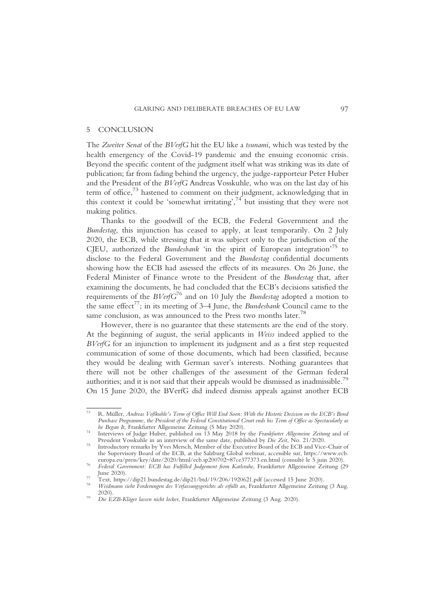## 5 CONCLUSION

The Zweiter Senat of the BVerfG hit the EU like a tsunami, which was tested by the health emergency of the Covid-19 pandemic and the ensuing economic crisis. Beyond the specific content of the judgment itself what was striking was its date of publication; far from fading behind the urgency, the judge-rapporteur Peter Huber and the President of the BVerfG Andreas Vosskuhle, who was on the last day of his term of office,<sup>73</sup> hastened to comment on their judgment, acknowledging that in this context it could be 'somewhat irritating', $74$  but insisting that they were not making politics.

Thanks to the goodwill of the ECB, the Federal Government and the Bundestag, this injunction has ceased to apply, at least temporarily. On 2 July 2020, the ECB, while stressing that it was subject only to the jurisdiction of the CJEU, authorized the Bundesbank 'in the spirit of European integration'<sup>75</sup> to disclose to the Federal Government and the Bundestag confidential documents showing how the ECB had assessed the effects of its measures. On 26 June, the Federal Minister of Finance wrote to the President of the Bundestag that, after examining the documents, he had concluded that the ECB's decisions satisfied the requirements of the  $BVerfG^{76}$  and on 10 July the *Bundestag* adopted a motion to the same effect<sup>77</sup>; in its meeting of 3–4 June, the *Bundesbank* Council came to the same conclusion, as was announced to the Press two months later.<sup>78</sup>

However, there is no guarantee that these statements are the end of the story. At the beginning of august, the serial applicants in Weiss indeed applied to the BVerfG for an injunction to implement its judgment and as a first step requested communication of some of those documents, which had been classified, because they would be dealing with German saver's interests. Nothing guarantees that there will not be other challenges of the assessment of the German federal authorities; and it is not said that their appeals would be dismissed as inadmissible.<sup>79</sup> On 15 June 2020, the BVerfG did indeed dismiss appeals against another ECB

<sup>73</sup> R. Müller, Andreas Voßkuhle's Term of Office Will End Soon: With the Historic Decision on the ECB's Bond Purchase Programme, the President of the Federal Constitutional Court ends his Term of Office as Spectacularly as<br>he Began It, Frankfurter Allgemeine Zeitung (5 May 2020).

Interviews of Judge Huber, published on 13 May 2018 by the Frankfurter Allgemeine Zeitung and of President Vosskuhle in an interview of the same date, published by Die Zeit, No. 21/2020.

Introductory remarks by Yves Mersch, Member of the Executive Board of the ECB and Vice-Chair of the Supervisory Board of the ECB, at the Salzburg Global webinar, accessible sur, https://www.ecb.<br>europa.eu/press/key/date/2020/html/ecb.sp200702~87ce377373.en.html (consulté le 5 juin 2020).

Federal Government: ECB has Fulfilled Judgement from Karlsruhe, Frankfurter Allgemeine Zeitung (29 June 2020).

 $\frac{77}{18}$  Text, https://dip21.bundestag.de/dip21/btd/19/206/1920621.pdf (accessed 15 June 2020).<br><sup>78</sup> Weidmann sieht Forderungen des Verfassungsgerichts als erfüllt an. Frankfurter Allgemeine Zeitung (3 Aug.

<sup>2020).</sup> <sup>79</sup> Die EZB-Kläger lassen nicht locker, Frankfurter Allgemeine Zeitung (3 Aug. 2020).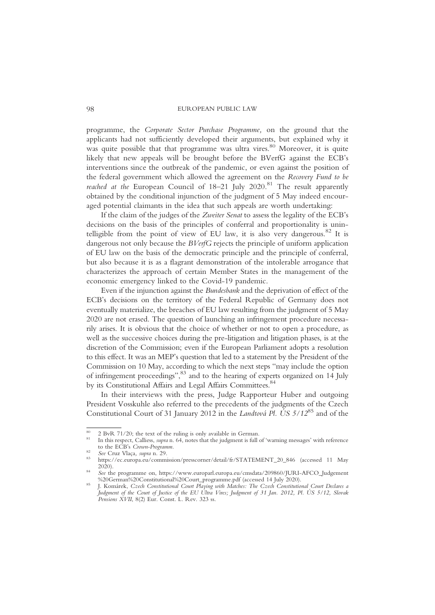programme, the Corporate Sector Purchase Programme, on the ground that the applicants had not sufficiently developed their arguments, but explained why it was quite possible that that programme was ultra vires.<sup>80</sup> Moreover, it is quite likely that new appeals will be brought before the BVerfG against the ECB's interventions since the outbreak of the pandemic, or even against the position of the federal government which allowed the agreement on the Recovery Fund to be reached at the European Council of  $18-21$  July  $2020$ .<sup>81</sup> The result apparently obtained by the conditional injunction of the judgment of 5 May indeed encouraged potential claimants in the idea that such appeals are worth undertaking:

If the claim of the judges of the Zweiter Senat to assess the legality of the ECB's decisions on the basis of the principles of conferral and proportionality is unintelligible from the point of view of EU law, it is also very dangerous.<sup>82</sup> It is dangerous not only because the *BVerfG* rejects the principle of uniform application of EU law on the basis of the democratic principle and the principle of conferral, but also because it is as a flagrant demonstration of the intolerable arrogance that characterizes the approach of certain Member States in the management of the economic emergency linked to the Covid-19 pandemic.

Even if the injunction against the Bundesbank and the deprivation of effect of the ECB's decisions on the territory of the Federal Republic of Germany does not eventually materialize, the breaches of EU law resulting from the judgment of 5 May 2020 are not erased. The question of launching an infringement procedure necessarily arises. It is obvious that the choice of whether or not to open a procedure, as well as the successive choices during the pre-litigation and litigation phases, is at the discretion of the Commission; even if the European Parliament adopts a resolution to this effect. It was an MEP's question that led to a statement by the President of the Commission on 10 May, according to which the next steps "may include the option of infringement proceedings",<sup>83</sup> and to the hearing of experts organized on 14 July by its Constitutional Affairs and Legal Affairs Committees.<sup>84</sup>

In their interviews with the press, Judge Rapporteur Huber and outgoing President Vosskuhle also referred to the precedents of the judgments of the Czech Constitutional Court of 31 January 2012 in the Landtová Pl. US  $5/12^{85}$  and of the

<sup>&</sup>lt;sup>80</sup> 2 BvR 71/20; the text of the ruling is only available in German.<br><sup>81</sup> In this respect, Calliess, *supra* n. 64, notes that the judgment is full of 'warning messages' with reference<br>to the ECB's *Crown-Programm*.

Scale Cruz Vlaça, supra n. 29. 83<br>
https://ec.europa.eu/commission/presscorner/detail/fr/STATEMENT\_20\_846 (accessed 11 May 2020).

See the programme on, https://www.europarl.europa.eu/cmsdata/209860/JURI-AFCO\_Judgement %20German%20Constitutional%20Court\_programme.pdf (accessed 14 July 2020).

I. Komárek, Czech Constitutional Court Playing with Matches: The Czech Constitutional Court Declares a .<br>Judgment of the Court of Justice of the EU Ultra Vires; Judgment of 31 Jan. 2012, Pl. ÚS 5/12, Slovak Pensions XVII, 8(2) Eur. Const. L. Rev. 323 ss.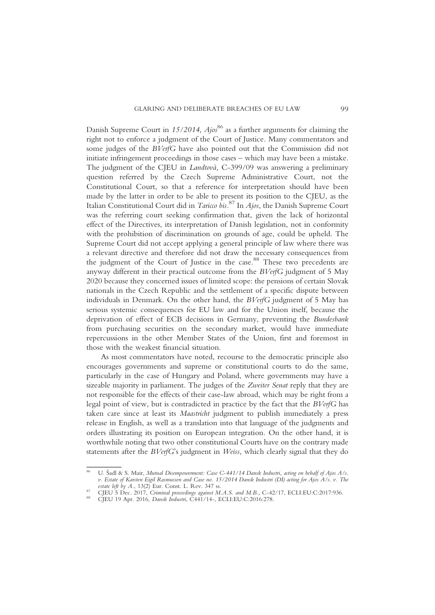Danish Supreme Court in  $15/2014$ ,  $Ajo<sup>86</sup>$  as a further arguments for claiming the right not to enforce a judgment of the Court of Justice. Many commentators and some judges of the BVerfG have also pointed out that the Commission did not initiate infringement proceedings in those cases – which may have been a mistake. The judgment of the CJEU in Landtovà, C-399/09 was answering a preliminary question referred by the Czech Supreme Administrative Court, not the Constitutional Court, so that a reference for interpretation should have been made by the latter in order to be able to present its position to the CJEU, as the Italian Constitutional Court did in *Taricco* bis.<sup>87</sup> In  $A$ jos, the Danish Supreme Court was the referring court seeking confirmation that, given the lack of horizontal effect of the Directives, its interpretation of Danish legislation, not in conformity with the prohibition of discrimination on grounds of age, could be upheld. The Supreme Court did not accept applying a general principle of law where there was a relevant directive and therefore did not draw the necessary consequences from the judgment of the Court of Justice in the case.<sup>88</sup> These two precedents are anyway different in their practical outcome from the BVerfG judgment of 5 May 2020 because they concerned issues of limited scope: the pensions of certain Slovak nationals in the Czech Republic and the settlement of a specific dispute between individuals in Denmark. On the other hand, the BVerfG judgment of 5 May has serious systemic consequences for EU law and for the Union itself, because the deprivation of effect of ECB decisions in Germany, preventing the Bundesbank from purchasing securities on the secondary market, would have immediate repercussions in the other Member States of the Union, first and foremost in those with the weakest financial situation.

As most commentators have noted, recourse to the democratic principle also encourages governments and supreme or constitutional courts to do the same, particularly in the case of Hungary and Poland, where governments may have a sizeable majority in parliament. The judges of the Zweiter Senat reply that they are not responsible for the effects of their case-law abroad, which may be right from a legal point of view, but is contradicted in practice by the fact that the BVerfG has taken care since at least its Maastricht judgment to publish immediately a press release in English, as well as a translation into that language of the judgments and orders illustrating its position on European integration. On the other hand, it is worthwhile noting that two other constitutional Courts have on the contrary made statements after the BVerfG's judgment in Weiss, which clearly signal that they do

U. Šadl & S. Mair, Mutual Disempowerment: Case C-441/14 Dansk Industri, acting on behalf of Ajos A/s. v. Estate of Karsten Eigil Rasmussen and Case no. 15/2014 Dansk Industri (DI) acting for Ajos A/s. v. The

estate left by A., 13(2) Eur. Const. L. Rev. 347 ss.<br>CJEU 5 Dec. 2017, Criminal proceedings against M.A.S. and M.B., C-42/17, ECLI:EU:C:2017:936.<br>CJEU 19 Apr. 2016, Dansk Industri, C441/14-, ECLI:EU:C:2016:278.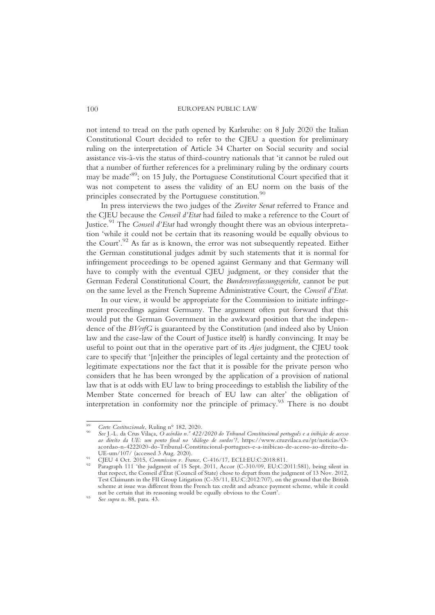not intend to tread on the path opened by Karlsruhe: on 8 July 2020 the Italian Constitutional Court decided to refer to the CJEU a question for preliminary ruling on the interpretation of Article 34 Charter on Social security and social assistance vis-à-vis the status of third-country nationals that 'it cannot be ruled out that a number of further references for a preliminary ruling by the ordinary courts may be made' 89; on 15 July, the Portuguese Constitutional Court specified that it was not competent to assess the validity of an EU norm on the basis of the principles consecrated by the Portuguese constitution.<sup>90</sup>

In press interviews the two judges of the Zweiter Senat referred to France and the CJEU because the Conseil d'Etat had failed to make a reference to the Court of Justice.<sup>91</sup> The *Conseil d'Etat* had wrongly thought there was an obvious interpretation 'while it could not be certain that its reasoning would be equally obvious to the Court'. <sup>92</sup> As far as is known, the error was not subsequently repeated. Either the German constitutional judges admit by such statements that it is normal for infringement proceedings to be opened against Germany and that Germany will have to comply with the eventual CJEU judgment, or they consider that the German Federal Constitutional Court, the Bundersverfassungsgericht, cannot be put on the same level as the French Supreme Administrative Court, the Conseil d'Etat.

In our view, it would be appropriate for the Commission to initiate infringement proceedings against Germany. The argument often put forward that this would put the German Government in the awkward position that the independence of the BVerfG is guaranteed by the Constitution (and indeed also by Union law and the case-law of the Court of Justice itself) is hardly convincing. It may be useful to point out that in the operative part of its  $A$ *jos* judgment, the CJEU took care to specify that '[n]either the principles of legal certainty and the protection of legitimate expectations nor the fact that it is possible for the private person who considers that he has been wronged by the application of a provision of national law that is at odds with EU law to bring proceedings to establish the liability of the Member State concerned for breach of EU law can alter' the obligation of interpretation in conformity nor the principle of primacy.<sup>93</sup> There is no doubt

<sup>&</sup>lt;sup>89</sup> Corte Costituzionale, Ruling n° 182, 2020.<br><sup>90</sup> See J.-L. da Crus Vilaça, O acórdão n.º 422/2020 do Tribunal Constitucional português e a inibição de acesso ao direito da UE: um ponto final no 'diálogo de surdos'?, https://www.cruzvilaca.eu/pt/noticias/Oacordao-n-4222020-do-Tribunal-Constitucional-portugues-e-a-inibicao-de-acesso-ao-direito-da-

CJEU 4 Oct. 2015, Commission v. France, C-416/17, ECLI:EU:C:2018:811.<br>Paragraph 111 'the judgment of 15 Sept. 2011, Accor (C-310/09, EU:C:2011:581), being silent in that respect, the Conseil d'État (Council of State) chose to depart from the judgment of 13 Nov. 2012, Test Claimants in the FII Group Litigation (C-35/11, EU:C:2012:707), on the ground that the British scheme at issue was different from the French tax credit and advance payment scheme, while it could not be certain that its reasoning would be equally obvious to the Court'.<br> *93* See supra n. 88, para. 43.